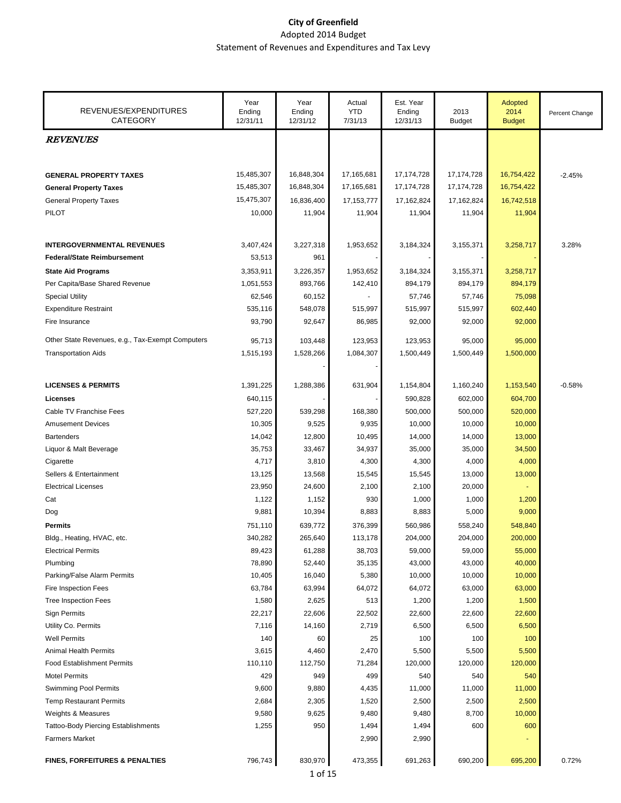| REVENUES/EXPENDITURES<br><b>CATEGORY</b>         | Year<br>Ending<br>12/31/11 | Year<br>Ending<br>12/31/12 | Actual<br><b>YTD</b><br>7/31/13 | Est. Year<br>Ending<br>12/31/13 | 2013<br><b>Budget</b> | Adopted<br>2014<br><b>Budget</b> | Percent Change |
|--------------------------------------------------|----------------------------|----------------------------|---------------------------------|---------------------------------|-----------------------|----------------------------------|----------------|
| <b>REVENUES</b>                                  |                            |                            |                                 |                                 |                       |                                  |                |
|                                                  |                            |                            |                                 |                                 |                       |                                  |                |
| <b>GENERAL PROPERTY TAXES</b>                    | 15,485,307                 | 16,848,304                 | 17,165,681                      | 17, 174, 728                    | 17,174,728            | 16,754,422                       | $-2.45%$       |
| <b>General Property Taxes</b>                    | 15,485,307                 | 16,848,304                 | 17,165,681                      | 17,174,728                      | 17,174,728            | 16,754,422                       |                |
| <b>General Property Taxes</b>                    | 15,475,307                 | 16,836,400                 | 17, 153, 777                    | 17,162,824                      | 17,162,824            | 16,742,518                       |                |
| <b>PILOT</b>                                     |                            |                            |                                 |                                 |                       |                                  |                |
|                                                  | 10,000                     | 11,904                     | 11,904                          | 11,904                          | 11,904                | 11,904                           |                |
| <b>INTERGOVERNMENTAL REVENUES</b>                | 3,407,424                  | 3,227,318                  | 1,953,652                       | 3,184,324                       | 3,155,371             | 3,258,717                        | 3.28%          |
| <b>Federal/State Reimbursement</b>               | 53,513                     | 961                        |                                 |                                 |                       |                                  |                |
| <b>State Aid Programs</b>                        | 3,353,911                  | 3,226,357                  | 1,953,652                       | 3,184,324                       | 3,155,371             | 3,258,717                        |                |
| Per Capita/Base Shared Revenue                   | 1,051,553                  | 893,766                    | 142,410                         | 894,179                         | 894,179               | 894,179                          |                |
| <b>Special Utility</b>                           | 62,546                     | 60,152                     |                                 | 57,746                          | 57,746                | 75,098                           |                |
|                                                  |                            |                            |                                 |                                 |                       |                                  |                |
| <b>Expenditure Restraint</b>                     | 535,116                    | 548,078                    | 515,997                         | 515,997                         | 515,997               | 602,440                          |                |
| Fire Insurance                                   | 93,790                     | 92,647                     | 86,985                          | 92,000                          | 92,000                | 92,000                           |                |
| Other State Revenues, e.g., Tax-Exempt Computers | 95,713                     | 103,448                    | 123,953                         | 123,953                         | 95,000                | 95,000                           |                |
| <b>Transportation Aids</b>                       | 1,515,193                  | 1,528,266                  | 1,084,307                       | 1,500,449                       | 1,500,449             | 1,500,000                        |                |
|                                                  |                            |                            |                                 |                                 |                       |                                  |                |
| <b>LICENSES &amp; PERMITS</b>                    | 1,391,225                  | 1,288,386                  | 631,904                         | 1,154,804                       | 1,160,240             | 1,153,540                        | $-0.58%$       |
| <b>Licenses</b>                                  | 640,115                    |                            |                                 | 590,828                         | 602,000               | 604,700                          |                |
| Cable TV Franchise Fees                          | 527,220                    | 539,298                    | 168,380                         | 500,000                         | 500,000               | 520,000                          |                |
| <b>Amusement Devices</b>                         | 10,305                     | 9,525                      | 9,935                           | 10,000                          | 10,000                | 10,000                           |                |
| <b>Bartenders</b>                                | 14,042                     | 12,800                     | 10,495                          | 14,000                          | 14,000                | 13,000                           |                |
| Liquor & Malt Beverage                           | 35,753                     | 33,467                     | 34,937                          | 35,000                          | 35,000                | 34,500                           |                |
| Cigarette                                        | 4,717                      | 3,810                      | 4,300                           | 4,300                           | 4,000                 | 4,000                            |                |
| Sellers & Entertainment                          | 13,125                     | 13,568                     | 15,545                          | 15,545                          | 13,000                | 13,000                           |                |
| <b>Electrical Licenses</b>                       | 23,950                     | 24,600                     | 2,100                           | 2,100                           | 20,000                |                                  |                |
| Cat                                              | 1,122                      | 1,152                      | 930                             | 1,000                           | 1,000                 | 1,200                            |                |
| Dog                                              | 9,881                      | 10,394                     | 8,883                           | 8,883                           | 5,000                 | 9,000                            |                |
| <b>Permits</b>                                   | 751,110                    | 639,772                    | 376,399                         | 560,986                         | 558,240               | 548,840                          |                |
| Bldg., Heating, HVAC, etc.                       | 340,282                    | 265,640                    | 113,178                         | 204,000                         | 204,000               | 200,000                          |                |
| <b>Electrical Permits</b>                        | 89,423                     | 61,288                     | 38,703                          | 59,000                          | 59,000                | 55,000                           |                |
| Plumbing                                         | 78,890                     | 52,440                     | 35,135                          | 43,000                          | 43,000                | 40,000                           |                |
| Parking/False Alarm Permits                      | 10,405                     | 16,040                     | 5,380                           | 10,000                          | 10,000                | 10,000                           |                |
| Fire Inspection Fees                             | 63,784                     | 63,994                     | 64,072                          | 64,072                          | 63,000                | 63,000                           |                |
| <b>Tree Inspection Fees</b>                      | 1,580                      | 2,625                      | 513                             | 1,200                           | 1,200                 | 1,500                            |                |
| <b>Sign Permits</b>                              | 22,217                     | 22,606                     | 22,502                          | 22,600                          | 22,600                | 22,600                           |                |
| Utility Co. Permits                              | 7,116                      | 14,160                     | 2,719                           | 6,500                           | 6,500                 | 6,500                            |                |
| <b>Well Permits</b>                              | 140                        | 60                         | 25                              | 100                             | 100                   | 100                              |                |
| <b>Animal Health Permits</b>                     | 3,615                      | 4,460                      | 2,470                           | 5,500                           | 5,500                 | 5,500                            |                |
| <b>Food Establishment Permits</b>                | 110,110                    | 112,750                    | 71,284                          | 120,000                         | 120,000               | 120,000                          |                |
| <b>Motel Permits</b>                             | 429                        | 949                        | 499                             | 540                             | 540                   | 540                              |                |
| <b>Swimming Pool Permits</b>                     | 9,600                      | 9,880                      | 4,435                           | 11,000                          | 11,000                | 11,000                           |                |
| <b>Temp Restaurant Permits</b>                   | 2,684                      | 2,305                      | 1,520                           | 2,500                           | 2,500                 | 2,500                            |                |
| Weights & Measures                               | 9,580                      | 9,625                      | 9,480                           | 9,480                           | 8,700                 | 10,000                           |                |
| <b>Tattoo-Body Piercing Establishments</b>       | 1,255                      | 950                        | 1,494                           | 1,494                           | 600                   | 600                              |                |
| <b>Farmers Market</b>                            |                            |                            | 2,990                           | 2,990                           |                       |                                  |                |
| <b>FINES, FORFEITURES &amp; PENALTIES</b>        | 796,743                    | 830,970                    | 473,355                         | 691,263                         | 690,200               | 695,200                          | 0.72%          |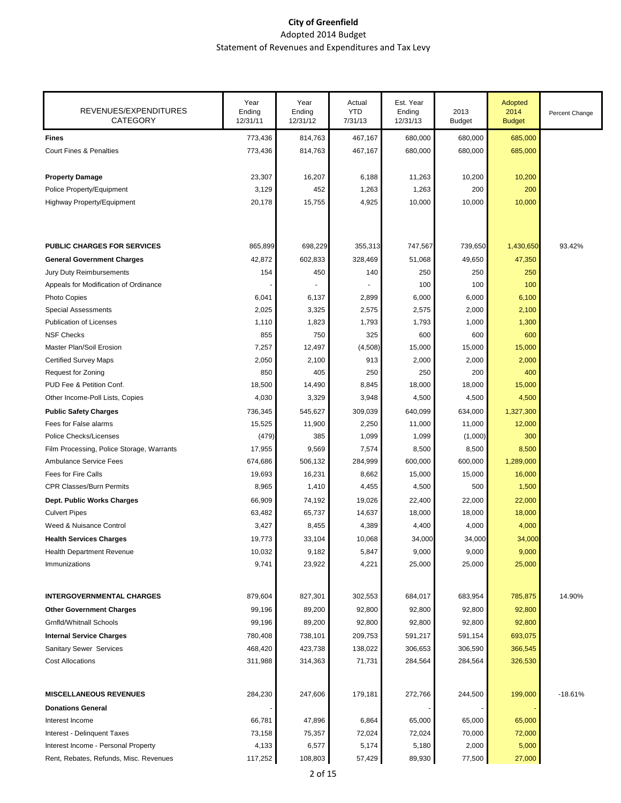| REVENUES/EXPENDITURES<br><b>CATEGORY</b>  | Year<br>Ending<br>12/31/11 | Year<br>Ending<br>12/31/12 | Actual<br><b>YTD</b><br>7/31/13 | Est. Year<br>Ending<br>12/31/13 | 2013<br><b>Budget</b> | Adopted<br>2014<br><b>Budget</b> | Percent Change |
|-------------------------------------------|----------------------------|----------------------------|---------------------------------|---------------------------------|-----------------------|----------------------------------|----------------|
| <b>Fines</b>                              | 773,436                    | 814,763                    | 467,167                         | 680,000                         | 680,000               | 685,000                          |                |
| <b>Court Fines &amp; Penalties</b>        | 773,436                    | 814,763                    | 467,167                         | 680,000                         | 680,000               | 685,000                          |                |
| <b>Property Damage</b>                    | 23,307                     | 16,207                     | 6,188                           | 11,263                          | 10,200                | 10,200                           |                |
| Police Property/Equipment                 | 3,129                      | 452                        | 1,263                           | 1,263                           | 200                   | 200                              |                |
| Highway Property/Equipment                | 20,178                     | 15,755                     | 4,925                           | 10,000                          | 10,000                | 10,000                           |                |
| <b>PUBLIC CHARGES FOR SERVICES</b>        | 865,899                    | 698,229                    | 355,313                         | 747,567                         | 739,650               | 1,430,650                        | 93.42%         |
| <b>General Government Charges</b>         | 42,872                     | 602,833                    | 328,469                         | 51,068                          | 49,650                | 47,350                           |                |
| Jury Duty Reimbursements                  | 154                        | 450                        | 140                             | 250                             | 250                   | 250                              |                |
| Appeals for Modification of Ordinance     |                            |                            |                                 | 100                             | 100                   | 100                              |                |
| Photo Copies                              | 6,041                      | 6,137                      | 2,899                           | 6,000                           | 6,000                 | 6,100                            |                |
| <b>Special Assessments</b>                | 2,025                      | 3,325                      | 2,575                           | 2,575                           | 2,000                 | 2,100                            |                |
| <b>Publication of Licenses</b>            | 1,110                      | 1,823                      | 1,793                           | 1,793                           | 1,000                 | 1,300                            |                |
| <b>NSF Checks</b>                         | 855                        | 750                        | 325                             | 600                             | 600                   | 600                              |                |
| Master Plan/Soil Erosion                  | 7,257                      | 12,497                     | (4,508)                         | 15,000                          | 15,000                | 15,000                           |                |
| <b>Certified Survey Maps</b>              | 2,050                      | 2,100                      | 913                             | 2,000                           | 2,000                 | 2,000                            |                |
| Request for Zoning                        | 850                        | 405                        | 250                             | 250                             | 200                   | 400                              |                |
| PUD Fee & Petition Conf.                  | 18,500                     | 14,490                     | 8,845                           | 18,000                          | 18,000                | 15,000                           |                |
| Other Income-Poll Lists, Copies           | 4,030                      | 3,329                      | 3,948                           | 4,500                           | 4,500                 | 4,500                            |                |
| <b>Public Safety Charges</b>              | 736,345                    | 545,627                    | 309,039                         | 640,099                         | 634,000               | 1,327,300                        |                |
| Fees for False alarms                     | 15,525                     | 11,900                     | 2,250                           | 11,000                          | 11,000                | 12,000                           |                |
| Police Checks/Licenses                    | (479)                      | 385                        | 1,099                           | 1,099                           | (1,000)               | 300                              |                |
| Film Processing, Police Storage, Warrants | 17,955                     | 9,569                      | 7,574                           | 8,500                           | 8,500                 | 8,500                            |                |
| <b>Ambulance Service Fees</b>             | 674,686                    | 506,132                    | 284,999                         | 600,000                         | 600,000               | 1,289,000                        |                |
| <b>Fees for Fire Calls</b>                | 19,693                     | 16,231                     | 8,662                           | 15,000                          | 15,000                | 16,000                           |                |
| <b>CPR Classes/Burn Permits</b>           | 8,965                      | 1,410                      | 4,455                           | 4,500                           | 500                   | 1,500                            |                |
| Dept. Public Works Charges                | 66,909                     | 74,192                     | 19,026                          | 22,400                          | 22,000                | 22,000                           |                |
| <b>Culvert Pipes</b>                      | 63,482                     | 65,737                     | 14,637                          | 18,000                          | 18,000                | 18,000                           |                |
| Weed & Nuisance Control                   | 3,427                      | 8,455                      | 4,389                           | 4,400                           | 4,000                 | 4,000                            |                |
| <b>Health Services Charges</b>            | 19,773                     | 33,104                     | 10,068                          | 34,000                          | 34,000                | 34,000                           |                |
| Health Department Revenue                 | 10,032                     | 9,182                      | 5,847                           | 9,000                           | 9,000                 | 9,000                            |                |
| Immunizations                             | 9,741                      | 23,922                     | 4,221                           | 25,000                          | 25,000                | 25,000                           |                |
| <b>INTERGOVERNMENTAL CHARGES</b>          | 879,604                    | 827,301                    | 302,553                         | 684,017                         | 683,954               | 785,875                          | 14.90%         |
| <b>Other Government Charges</b>           | 99,196                     | 89,200                     | 92,800                          | 92,800                          | 92,800                | 92,800                           |                |
| <b>Grnfld/Whitnall Schools</b>            | 99,196                     | 89,200                     | 92,800                          | 92,800                          | 92,800                | 92,800                           |                |
| <b>Internal Service Charges</b>           | 780,408                    | 738,101                    | 209,753                         | 591,217                         | 591,154               | 693,075                          |                |
| Sanitary Sewer Services                   | 468,420                    | 423,738                    | 138,022                         | 306,653                         | 306,590               | 366,545                          |                |
| <b>Cost Allocations</b>                   | 311,988                    | 314,363                    | 71,731                          | 284,564                         | 284,564               | 326,530                          |                |
| <b>MISCELLANEOUS REVENUES</b>             | 284,230                    | 247,606                    | 179,181                         | 272,766                         | 244,500               | 199,000                          | $-18.61%$      |
| <b>Donations General</b>                  |                            |                            |                                 |                                 |                       |                                  |                |
| Interest Income                           | 66,781                     | 47,896                     | 6,864                           | 65,000                          | 65,000                | 65,000                           |                |
| Interest - Delinquent Taxes               | 73,158                     | 75,357                     | 72,024                          | 72,024                          | 70,000                | 72,000                           |                |
| Interest Income - Personal Property       | 4,133                      | 6,577                      | 5,174                           | 5,180                           | 2,000                 | 5,000                            |                |
| Rent, Rebates, Refunds, Misc. Revenues    | 117,252                    | 108,803                    | 57,429                          | 89,930                          | 77,500                | 27,000                           |                |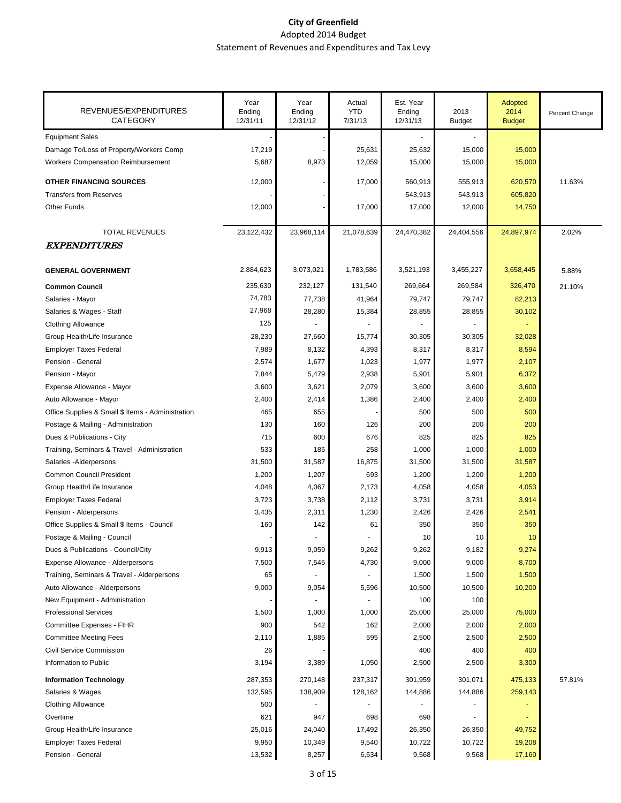| 17,219<br>25,631<br>25,632<br>15,000<br>15,000<br>8,973<br><b>Workers Compensation Reimbursement</b><br>5,687<br>12,059<br>15,000<br>15,000<br>15,000<br><b>OTHER FINANCING SOURCES</b><br>11.63%<br>12,000<br>17,000<br>560,913<br>555,913<br>620,570<br>543,913<br><b>Transfers from Reserves</b><br>543,913<br>605,820<br>14,750<br><b>Other Funds</b><br>12,000<br>17,000<br>17,000<br>12,000<br>23,122,432<br>23,968,114<br>21,078,639<br>24,470,382<br>24,404,556<br>24,897,974<br>2.02%<br><b>TOTAL REVENUES</b><br><b>EXPENDITURES</b><br>3,073,021<br>1,783,586<br>3,521,193<br>3,455,227<br>3,658,445<br>2,884,623<br><b>GENERAL GOVERNMENT</b><br>5.88%<br>235,630<br>232,127<br>131,540<br>269,664<br>269,584<br>326,470<br><b>Common Council</b><br>21.10%<br>74,783<br>79,747<br>Salaries - Mayor<br>77,738<br>41,964<br>79,747<br>82,213<br>27,968<br>28,280<br>30,102<br>Salaries & Wages - Staff<br>15,384<br>28,855<br>28,855<br>125<br><b>Clothing Allowance</b><br>Group Health/Life Insurance<br>28,230<br>27,660<br>15,774<br>30,305<br>30,305<br>32,028<br>7,989<br>8,132<br>4,393<br>8,317<br>8,317<br>8,594<br><b>Employer Taxes Federal</b><br>2,574<br>1,977<br>Pension - General<br>1,677<br>1,023<br>1,977<br>2,107<br>5,479<br>5,901<br>6,372<br>7,844<br>2,938<br>5,901<br>2,079<br>Expense Allowance - Mayor<br>3,600<br>3,621<br>3,600<br>3,600<br>3,600<br>2,414<br>1,386<br>2,400<br>Auto Allowance - Mayor<br>2,400<br>2,400<br>2,400<br>465<br>655<br>500<br>Office Supplies & Small \$ Items - Administration<br>500<br>500<br>130<br>160<br>126<br>200<br>200<br>200<br>Postage & Mailing - Administration<br>715<br>600<br>676<br>825<br>825<br>825<br>533<br>185<br>258<br>1,000<br>1,000<br>1,000<br>Salaries - Alderpersons<br>31,500<br>31,587<br>16,875<br>31,500<br>31,500<br>31,587<br><b>Common Council President</b><br>1,200<br>1,207<br>693<br>1,200<br>1,200<br>1,200<br>4,067<br>4,058<br>4,058<br>4,053<br>Group Health/Life Insurance<br>4,048<br>2,173<br>3,723<br>3,738<br>2,112<br>3,731<br>3,731<br>3,914<br><b>Employer Taxes Federal</b><br>Pension - Alderpersons<br>3,435<br>2,311<br>1,230<br>2,426<br>2,426<br>2,541<br>Office Supplies & Small \$ Items - Council<br>160<br>142<br>350<br>350<br>350<br>61<br>Postage & Mailing - Council<br>10<br>10<br>10<br>Dues & Publications - Council/City<br>9,262<br>9,262<br>9,182<br>9,274<br>9,913<br>9,059<br>7,545<br>9,000<br>9,000<br>8,700<br>Expense Allowance - Alderpersons<br>7,500<br>4,730<br>1,500<br>Training, Seminars & Travel - Alderpersons<br>65<br>1,500<br>1,500<br>9,000<br>10,500<br>9,054<br>5,596<br>10,500<br>10,200<br>Auto Allowance - Alderpersons<br>New Equipment - Administration<br>100<br>100<br><b>Professional Services</b><br>1,000<br>25,000<br>25,000<br>75,000<br>1,500<br>1,000<br>900<br>542<br>2,000<br>2,000<br>Committee Expenses - FIHR<br>162<br>2,000<br>2,500<br><b>Committee Meeting Fees</b><br>2,110<br>1,885<br>595<br>2,500<br>2,500<br>400<br><b>Civil Service Commission</b><br>26<br>400<br>400<br>Information to Public<br>3,194<br>3,389<br>1,050<br>2,500<br>2,500<br>3,300<br><b>Information Technology</b><br>287,353<br>270,148<br>237,317<br>301,959<br>301,071<br>475,133<br>57.81%<br>138,909<br>144,886<br>259,143<br>132,595<br>128,162<br>144,886<br>Salaries & Wages<br><b>Clothing Allowance</b><br>500<br>621<br>947<br>698<br>Overtime<br>698<br>Group Health/Life Insurance<br>25,016<br>24,040<br>17,492<br>26,350<br>26,350<br>49,752<br>9,950<br>10,349<br>9,540<br>10,722<br>10,722<br>19,208<br><b>Employer Taxes Federal</b> | REVENUES/EXPENDITURES<br><b>CATEGORY</b>     | Year<br>Ending<br>12/31/11 | Year<br>Ending<br>12/31/12 | Actual<br><b>YTD</b><br>7/31/13 | Est. Year<br>Ending<br>12/31/13 | 2013<br><b>Budget</b> | Adopted<br>2014<br><b>Budget</b> | Percent Change |
|---------------------------------------------------------------------------------------------------------------------------------------------------------------------------------------------------------------------------------------------------------------------------------------------------------------------------------------------------------------------------------------------------------------------------------------------------------------------------------------------------------------------------------------------------------------------------------------------------------------------------------------------------------------------------------------------------------------------------------------------------------------------------------------------------------------------------------------------------------------------------------------------------------------------------------------------------------------------------------------------------------------------------------------------------------------------------------------------------------------------------------------------------------------------------------------------------------------------------------------------------------------------------------------------------------------------------------------------------------------------------------------------------------------------------------------------------------------------------------------------------------------------------------------------------------------------------------------------------------------------------------------------------------------------------------------------------------------------------------------------------------------------------------------------------------------------------------------------------------------------------------------------------------------------------------------------------------------------------------------------------------------------------------------------------------------------------------------------------------------------------------------------------------------------------------------------------------------------------------------------------------------------------------------------------------------------------------------------------------------------------------------------------------------------------------------------------------------------------------------------------------------------------------------------------------------------------------------------------------------------------------------------------------------------------------------------------------------------------------------------------------------------------------------------------------------------------------------------------------------------------------------------------------------------------------------------------------------------------------------------------------------------------------------------------------------------------------------------------------------------------------------------------------------------------------------------------------------------------------------------------------------------------------------------------------------------------------------------------------------------------------------------------------------------------------------------------------------------------------------------------------------------------------------------------------------------------------------------------------------------------|----------------------------------------------|----------------------------|----------------------------|---------------------------------|---------------------------------|-----------------------|----------------------------------|----------------|
|                                                                                                                                                                                                                                                                                                                                                                                                                                                                                                                                                                                                                                                                                                                                                                                                                                                                                                                                                                                                                                                                                                                                                                                                                                                                                                                                                                                                                                                                                                                                                                                                                                                                                                                                                                                                                                                                                                                                                                                                                                                                                                                                                                                                                                                                                                                                                                                                                                                                                                                                                                                                                                                                                                                                                                                                                                                                                                                                                                                                                                                                                                                                                                                                                                                                                                                                                                                                                                                                                                                                                                                                                           | <b>Equipment Sales</b>                       |                            |                            |                                 |                                 |                       |                                  |                |
|                                                                                                                                                                                                                                                                                                                                                                                                                                                                                                                                                                                                                                                                                                                                                                                                                                                                                                                                                                                                                                                                                                                                                                                                                                                                                                                                                                                                                                                                                                                                                                                                                                                                                                                                                                                                                                                                                                                                                                                                                                                                                                                                                                                                                                                                                                                                                                                                                                                                                                                                                                                                                                                                                                                                                                                                                                                                                                                                                                                                                                                                                                                                                                                                                                                                                                                                                                                                                                                                                                                                                                                                                           | Damage To/Loss of Property/Workers Comp      |                            |                            |                                 |                                 |                       |                                  |                |
|                                                                                                                                                                                                                                                                                                                                                                                                                                                                                                                                                                                                                                                                                                                                                                                                                                                                                                                                                                                                                                                                                                                                                                                                                                                                                                                                                                                                                                                                                                                                                                                                                                                                                                                                                                                                                                                                                                                                                                                                                                                                                                                                                                                                                                                                                                                                                                                                                                                                                                                                                                                                                                                                                                                                                                                                                                                                                                                                                                                                                                                                                                                                                                                                                                                                                                                                                                                                                                                                                                                                                                                                                           |                                              |                            |                            |                                 |                                 |                       |                                  |                |
|                                                                                                                                                                                                                                                                                                                                                                                                                                                                                                                                                                                                                                                                                                                                                                                                                                                                                                                                                                                                                                                                                                                                                                                                                                                                                                                                                                                                                                                                                                                                                                                                                                                                                                                                                                                                                                                                                                                                                                                                                                                                                                                                                                                                                                                                                                                                                                                                                                                                                                                                                                                                                                                                                                                                                                                                                                                                                                                                                                                                                                                                                                                                                                                                                                                                                                                                                                                                                                                                                                                                                                                                                           |                                              |                            |                            |                                 |                                 |                       |                                  |                |
|                                                                                                                                                                                                                                                                                                                                                                                                                                                                                                                                                                                                                                                                                                                                                                                                                                                                                                                                                                                                                                                                                                                                                                                                                                                                                                                                                                                                                                                                                                                                                                                                                                                                                                                                                                                                                                                                                                                                                                                                                                                                                                                                                                                                                                                                                                                                                                                                                                                                                                                                                                                                                                                                                                                                                                                                                                                                                                                                                                                                                                                                                                                                                                                                                                                                                                                                                                                                                                                                                                                                                                                                                           |                                              |                            |                            |                                 |                                 |                       |                                  |                |
|                                                                                                                                                                                                                                                                                                                                                                                                                                                                                                                                                                                                                                                                                                                                                                                                                                                                                                                                                                                                                                                                                                                                                                                                                                                                                                                                                                                                                                                                                                                                                                                                                                                                                                                                                                                                                                                                                                                                                                                                                                                                                                                                                                                                                                                                                                                                                                                                                                                                                                                                                                                                                                                                                                                                                                                                                                                                                                                                                                                                                                                                                                                                                                                                                                                                                                                                                                                                                                                                                                                                                                                                                           |                                              |                            |                            |                                 |                                 |                       |                                  |                |
|                                                                                                                                                                                                                                                                                                                                                                                                                                                                                                                                                                                                                                                                                                                                                                                                                                                                                                                                                                                                                                                                                                                                                                                                                                                                                                                                                                                                                                                                                                                                                                                                                                                                                                                                                                                                                                                                                                                                                                                                                                                                                                                                                                                                                                                                                                                                                                                                                                                                                                                                                                                                                                                                                                                                                                                                                                                                                                                                                                                                                                                                                                                                                                                                                                                                                                                                                                                                                                                                                                                                                                                                                           |                                              |                            |                            |                                 |                                 |                       |                                  |                |
|                                                                                                                                                                                                                                                                                                                                                                                                                                                                                                                                                                                                                                                                                                                                                                                                                                                                                                                                                                                                                                                                                                                                                                                                                                                                                                                                                                                                                                                                                                                                                                                                                                                                                                                                                                                                                                                                                                                                                                                                                                                                                                                                                                                                                                                                                                                                                                                                                                                                                                                                                                                                                                                                                                                                                                                                                                                                                                                                                                                                                                                                                                                                                                                                                                                                                                                                                                                                                                                                                                                                                                                                                           |                                              |                            |                            |                                 |                                 |                       |                                  |                |
|                                                                                                                                                                                                                                                                                                                                                                                                                                                                                                                                                                                                                                                                                                                                                                                                                                                                                                                                                                                                                                                                                                                                                                                                                                                                                                                                                                                                                                                                                                                                                                                                                                                                                                                                                                                                                                                                                                                                                                                                                                                                                                                                                                                                                                                                                                                                                                                                                                                                                                                                                                                                                                                                                                                                                                                                                                                                                                                                                                                                                                                                                                                                                                                                                                                                                                                                                                                                                                                                                                                                                                                                                           |                                              |                            |                            |                                 |                                 |                       |                                  |                |
|                                                                                                                                                                                                                                                                                                                                                                                                                                                                                                                                                                                                                                                                                                                                                                                                                                                                                                                                                                                                                                                                                                                                                                                                                                                                                                                                                                                                                                                                                                                                                                                                                                                                                                                                                                                                                                                                                                                                                                                                                                                                                                                                                                                                                                                                                                                                                                                                                                                                                                                                                                                                                                                                                                                                                                                                                                                                                                                                                                                                                                                                                                                                                                                                                                                                                                                                                                                                                                                                                                                                                                                                                           |                                              |                            |                            |                                 |                                 |                       |                                  |                |
|                                                                                                                                                                                                                                                                                                                                                                                                                                                                                                                                                                                                                                                                                                                                                                                                                                                                                                                                                                                                                                                                                                                                                                                                                                                                                                                                                                                                                                                                                                                                                                                                                                                                                                                                                                                                                                                                                                                                                                                                                                                                                                                                                                                                                                                                                                                                                                                                                                                                                                                                                                                                                                                                                                                                                                                                                                                                                                                                                                                                                                                                                                                                                                                                                                                                                                                                                                                                                                                                                                                                                                                                                           |                                              |                            |                            |                                 |                                 |                       |                                  |                |
|                                                                                                                                                                                                                                                                                                                                                                                                                                                                                                                                                                                                                                                                                                                                                                                                                                                                                                                                                                                                                                                                                                                                                                                                                                                                                                                                                                                                                                                                                                                                                                                                                                                                                                                                                                                                                                                                                                                                                                                                                                                                                                                                                                                                                                                                                                                                                                                                                                                                                                                                                                                                                                                                                                                                                                                                                                                                                                                                                                                                                                                                                                                                                                                                                                                                                                                                                                                                                                                                                                                                                                                                                           |                                              |                            |                            |                                 |                                 |                       |                                  |                |
|                                                                                                                                                                                                                                                                                                                                                                                                                                                                                                                                                                                                                                                                                                                                                                                                                                                                                                                                                                                                                                                                                                                                                                                                                                                                                                                                                                                                                                                                                                                                                                                                                                                                                                                                                                                                                                                                                                                                                                                                                                                                                                                                                                                                                                                                                                                                                                                                                                                                                                                                                                                                                                                                                                                                                                                                                                                                                                                                                                                                                                                                                                                                                                                                                                                                                                                                                                                                                                                                                                                                                                                                                           |                                              |                            |                            |                                 |                                 |                       |                                  |                |
|                                                                                                                                                                                                                                                                                                                                                                                                                                                                                                                                                                                                                                                                                                                                                                                                                                                                                                                                                                                                                                                                                                                                                                                                                                                                                                                                                                                                                                                                                                                                                                                                                                                                                                                                                                                                                                                                                                                                                                                                                                                                                                                                                                                                                                                                                                                                                                                                                                                                                                                                                                                                                                                                                                                                                                                                                                                                                                                                                                                                                                                                                                                                                                                                                                                                                                                                                                                                                                                                                                                                                                                                                           |                                              |                            |                            |                                 |                                 |                       |                                  |                |
|                                                                                                                                                                                                                                                                                                                                                                                                                                                                                                                                                                                                                                                                                                                                                                                                                                                                                                                                                                                                                                                                                                                                                                                                                                                                                                                                                                                                                                                                                                                                                                                                                                                                                                                                                                                                                                                                                                                                                                                                                                                                                                                                                                                                                                                                                                                                                                                                                                                                                                                                                                                                                                                                                                                                                                                                                                                                                                                                                                                                                                                                                                                                                                                                                                                                                                                                                                                                                                                                                                                                                                                                                           |                                              |                            |                            |                                 |                                 |                       |                                  |                |
|                                                                                                                                                                                                                                                                                                                                                                                                                                                                                                                                                                                                                                                                                                                                                                                                                                                                                                                                                                                                                                                                                                                                                                                                                                                                                                                                                                                                                                                                                                                                                                                                                                                                                                                                                                                                                                                                                                                                                                                                                                                                                                                                                                                                                                                                                                                                                                                                                                                                                                                                                                                                                                                                                                                                                                                                                                                                                                                                                                                                                                                                                                                                                                                                                                                                                                                                                                                                                                                                                                                                                                                                                           |                                              |                            |                            |                                 |                                 |                       |                                  |                |
|                                                                                                                                                                                                                                                                                                                                                                                                                                                                                                                                                                                                                                                                                                                                                                                                                                                                                                                                                                                                                                                                                                                                                                                                                                                                                                                                                                                                                                                                                                                                                                                                                                                                                                                                                                                                                                                                                                                                                                                                                                                                                                                                                                                                                                                                                                                                                                                                                                                                                                                                                                                                                                                                                                                                                                                                                                                                                                                                                                                                                                                                                                                                                                                                                                                                                                                                                                                                                                                                                                                                                                                                                           |                                              |                            |                            |                                 |                                 |                       |                                  |                |
|                                                                                                                                                                                                                                                                                                                                                                                                                                                                                                                                                                                                                                                                                                                                                                                                                                                                                                                                                                                                                                                                                                                                                                                                                                                                                                                                                                                                                                                                                                                                                                                                                                                                                                                                                                                                                                                                                                                                                                                                                                                                                                                                                                                                                                                                                                                                                                                                                                                                                                                                                                                                                                                                                                                                                                                                                                                                                                                                                                                                                                                                                                                                                                                                                                                                                                                                                                                                                                                                                                                                                                                                                           | Pension - Mayor                              |                            |                            |                                 |                                 |                       |                                  |                |
|                                                                                                                                                                                                                                                                                                                                                                                                                                                                                                                                                                                                                                                                                                                                                                                                                                                                                                                                                                                                                                                                                                                                                                                                                                                                                                                                                                                                                                                                                                                                                                                                                                                                                                                                                                                                                                                                                                                                                                                                                                                                                                                                                                                                                                                                                                                                                                                                                                                                                                                                                                                                                                                                                                                                                                                                                                                                                                                                                                                                                                                                                                                                                                                                                                                                                                                                                                                                                                                                                                                                                                                                                           |                                              |                            |                            |                                 |                                 |                       |                                  |                |
|                                                                                                                                                                                                                                                                                                                                                                                                                                                                                                                                                                                                                                                                                                                                                                                                                                                                                                                                                                                                                                                                                                                                                                                                                                                                                                                                                                                                                                                                                                                                                                                                                                                                                                                                                                                                                                                                                                                                                                                                                                                                                                                                                                                                                                                                                                                                                                                                                                                                                                                                                                                                                                                                                                                                                                                                                                                                                                                                                                                                                                                                                                                                                                                                                                                                                                                                                                                                                                                                                                                                                                                                                           |                                              |                            |                            |                                 |                                 |                       |                                  |                |
|                                                                                                                                                                                                                                                                                                                                                                                                                                                                                                                                                                                                                                                                                                                                                                                                                                                                                                                                                                                                                                                                                                                                                                                                                                                                                                                                                                                                                                                                                                                                                                                                                                                                                                                                                                                                                                                                                                                                                                                                                                                                                                                                                                                                                                                                                                                                                                                                                                                                                                                                                                                                                                                                                                                                                                                                                                                                                                                                                                                                                                                                                                                                                                                                                                                                                                                                                                                                                                                                                                                                                                                                                           |                                              |                            |                            |                                 |                                 |                       |                                  |                |
|                                                                                                                                                                                                                                                                                                                                                                                                                                                                                                                                                                                                                                                                                                                                                                                                                                                                                                                                                                                                                                                                                                                                                                                                                                                                                                                                                                                                                                                                                                                                                                                                                                                                                                                                                                                                                                                                                                                                                                                                                                                                                                                                                                                                                                                                                                                                                                                                                                                                                                                                                                                                                                                                                                                                                                                                                                                                                                                                                                                                                                                                                                                                                                                                                                                                                                                                                                                                                                                                                                                                                                                                                           |                                              |                            |                            |                                 |                                 |                       |                                  |                |
|                                                                                                                                                                                                                                                                                                                                                                                                                                                                                                                                                                                                                                                                                                                                                                                                                                                                                                                                                                                                                                                                                                                                                                                                                                                                                                                                                                                                                                                                                                                                                                                                                                                                                                                                                                                                                                                                                                                                                                                                                                                                                                                                                                                                                                                                                                                                                                                                                                                                                                                                                                                                                                                                                                                                                                                                                                                                                                                                                                                                                                                                                                                                                                                                                                                                                                                                                                                                                                                                                                                                                                                                                           | Dues & Publications - City                   |                            |                            |                                 |                                 |                       |                                  |                |
|                                                                                                                                                                                                                                                                                                                                                                                                                                                                                                                                                                                                                                                                                                                                                                                                                                                                                                                                                                                                                                                                                                                                                                                                                                                                                                                                                                                                                                                                                                                                                                                                                                                                                                                                                                                                                                                                                                                                                                                                                                                                                                                                                                                                                                                                                                                                                                                                                                                                                                                                                                                                                                                                                                                                                                                                                                                                                                                                                                                                                                                                                                                                                                                                                                                                                                                                                                                                                                                                                                                                                                                                                           | Training, Seminars & Travel - Administration |                            |                            |                                 |                                 |                       |                                  |                |
|                                                                                                                                                                                                                                                                                                                                                                                                                                                                                                                                                                                                                                                                                                                                                                                                                                                                                                                                                                                                                                                                                                                                                                                                                                                                                                                                                                                                                                                                                                                                                                                                                                                                                                                                                                                                                                                                                                                                                                                                                                                                                                                                                                                                                                                                                                                                                                                                                                                                                                                                                                                                                                                                                                                                                                                                                                                                                                                                                                                                                                                                                                                                                                                                                                                                                                                                                                                                                                                                                                                                                                                                                           |                                              |                            |                            |                                 |                                 |                       |                                  |                |
|                                                                                                                                                                                                                                                                                                                                                                                                                                                                                                                                                                                                                                                                                                                                                                                                                                                                                                                                                                                                                                                                                                                                                                                                                                                                                                                                                                                                                                                                                                                                                                                                                                                                                                                                                                                                                                                                                                                                                                                                                                                                                                                                                                                                                                                                                                                                                                                                                                                                                                                                                                                                                                                                                                                                                                                                                                                                                                                                                                                                                                                                                                                                                                                                                                                                                                                                                                                                                                                                                                                                                                                                                           |                                              |                            |                            |                                 |                                 |                       |                                  |                |
|                                                                                                                                                                                                                                                                                                                                                                                                                                                                                                                                                                                                                                                                                                                                                                                                                                                                                                                                                                                                                                                                                                                                                                                                                                                                                                                                                                                                                                                                                                                                                                                                                                                                                                                                                                                                                                                                                                                                                                                                                                                                                                                                                                                                                                                                                                                                                                                                                                                                                                                                                                                                                                                                                                                                                                                                                                                                                                                                                                                                                                                                                                                                                                                                                                                                                                                                                                                                                                                                                                                                                                                                                           |                                              |                            |                            |                                 |                                 |                       |                                  |                |
|                                                                                                                                                                                                                                                                                                                                                                                                                                                                                                                                                                                                                                                                                                                                                                                                                                                                                                                                                                                                                                                                                                                                                                                                                                                                                                                                                                                                                                                                                                                                                                                                                                                                                                                                                                                                                                                                                                                                                                                                                                                                                                                                                                                                                                                                                                                                                                                                                                                                                                                                                                                                                                                                                                                                                                                                                                                                                                                                                                                                                                                                                                                                                                                                                                                                                                                                                                                                                                                                                                                                                                                                                           |                                              |                            |                            |                                 |                                 |                       |                                  |                |
|                                                                                                                                                                                                                                                                                                                                                                                                                                                                                                                                                                                                                                                                                                                                                                                                                                                                                                                                                                                                                                                                                                                                                                                                                                                                                                                                                                                                                                                                                                                                                                                                                                                                                                                                                                                                                                                                                                                                                                                                                                                                                                                                                                                                                                                                                                                                                                                                                                                                                                                                                                                                                                                                                                                                                                                                                                                                                                                                                                                                                                                                                                                                                                                                                                                                                                                                                                                                                                                                                                                                                                                                                           |                                              |                            |                            |                                 |                                 |                       |                                  |                |
|                                                                                                                                                                                                                                                                                                                                                                                                                                                                                                                                                                                                                                                                                                                                                                                                                                                                                                                                                                                                                                                                                                                                                                                                                                                                                                                                                                                                                                                                                                                                                                                                                                                                                                                                                                                                                                                                                                                                                                                                                                                                                                                                                                                                                                                                                                                                                                                                                                                                                                                                                                                                                                                                                                                                                                                                                                                                                                                                                                                                                                                                                                                                                                                                                                                                                                                                                                                                                                                                                                                                                                                                                           |                                              |                            |                            |                                 |                                 |                       |                                  |                |
|                                                                                                                                                                                                                                                                                                                                                                                                                                                                                                                                                                                                                                                                                                                                                                                                                                                                                                                                                                                                                                                                                                                                                                                                                                                                                                                                                                                                                                                                                                                                                                                                                                                                                                                                                                                                                                                                                                                                                                                                                                                                                                                                                                                                                                                                                                                                                                                                                                                                                                                                                                                                                                                                                                                                                                                                                                                                                                                                                                                                                                                                                                                                                                                                                                                                                                                                                                                                                                                                                                                                                                                                                           |                                              |                            |                            |                                 |                                 |                       |                                  |                |
|                                                                                                                                                                                                                                                                                                                                                                                                                                                                                                                                                                                                                                                                                                                                                                                                                                                                                                                                                                                                                                                                                                                                                                                                                                                                                                                                                                                                                                                                                                                                                                                                                                                                                                                                                                                                                                                                                                                                                                                                                                                                                                                                                                                                                                                                                                                                                                                                                                                                                                                                                                                                                                                                                                                                                                                                                                                                                                                                                                                                                                                                                                                                                                                                                                                                                                                                                                                                                                                                                                                                                                                                                           |                                              |                            |                            |                                 |                                 |                       |                                  |                |
|                                                                                                                                                                                                                                                                                                                                                                                                                                                                                                                                                                                                                                                                                                                                                                                                                                                                                                                                                                                                                                                                                                                                                                                                                                                                                                                                                                                                                                                                                                                                                                                                                                                                                                                                                                                                                                                                                                                                                                                                                                                                                                                                                                                                                                                                                                                                                                                                                                                                                                                                                                                                                                                                                                                                                                                                                                                                                                                                                                                                                                                                                                                                                                                                                                                                                                                                                                                                                                                                                                                                                                                                                           |                                              |                            |                            |                                 |                                 |                       |                                  |                |
|                                                                                                                                                                                                                                                                                                                                                                                                                                                                                                                                                                                                                                                                                                                                                                                                                                                                                                                                                                                                                                                                                                                                                                                                                                                                                                                                                                                                                                                                                                                                                                                                                                                                                                                                                                                                                                                                                                                                                                                                                                                                                                                                                                                                                                                                                                                                                                                                                                                                                                                                                                                                                                                                                                                                                                                                                                                                                                                                                                                                                                                                                                                                                                                                                                                                                                                                                                                                                                                                                                                                                                                                                           |                                              |                            |                            |                                 |                                 |                       |                                  |                |
|                                                                                                                                                                                                                                                                                                                                                                                                                                                                                                                                                                                                                                                                                                                                                                                                                                                                                                                                                                                                                                                                                                                                                                                                                                                                                                                                                                                                                                                                                                                                                                                                                                                                                                                                                                                                                                                                                                                                                                                                                                                                                                                                                                                                                                                                                                                                                                                                                                                                                                                                                                                                                                                                                                                                                                                                                                                                                                                                                                                                                                                                                                                                                                                                                                                                                                                                                                                                                                                                                                                                                                                                                           |                                              |                            |                            |                                 |                                 |                       |                                  |                |
|                                                                                                                                                                                                                                                                                                                                                                                                                                                                                                                                                                                                                                                                                                                                                                                                                                                                                                                                                                                                                                                                                                                                                                                                                                                                                                                                                                                                                                                                                                                                                                                                                                                                                                                                                                                                                                                                                                                                                                                                                                                                                                                                                                                                                                                                                                                                                                                                                                                                                                                                                                                                                                                                                                                                                                                                                                                                                                                                                                                                                                                                                                                                                                                                                                                                                                                                                                                                                                                                                                                                                                                                                           |                                              |                            |                            |                                 |                                 |                       |                                  |                |
|                                                                                                                                                                                                                                                                                                                                                                                                                                                                                                                                                                                                                                                                                                                                                                                                                                                                                                                                                                                                                                                                                                                                                                                                                                                                                                                                                                                                                                                                                                                                                                                                                                                                                                                                                                                                                                                                                                                                                                                                                                                                                                                                                                                                                                                                                                                                                                                                                                                                                                                                                                                                                                                                                                                                                                                                                                                                                                                                                                                                                                                                                                                                                                                                                                                                                                                                                                                                                                                                                                                                                                                                                           |                                              |                            |                            |                                 |                                 |                       |                                  |                |
|                                                                                                                                                                                                                                                                                                                                                                                                                                                                                                                                                                                                                                                                                                                                                                                                                                                                                                                                                                                                                                                                                                                                                                                                                                                                                                                                                                                                                                                                                                                                                                                                                                                                                                                                                                                                                                                                                                                                                                                                                                                                                                                                                                                                                                                                                                                                                                                                                                                                                                                                                                                                                                                                                                                                                                                                                                                                                                                                                                                                                                                                                                                                                                                                                                                                                                                                                                                                                                                                                                                                                                                                                           |                                              |                            |                            |                                 |                                 |                       |                                  |                |
|                                                                                                                                                                                                                                                                                                                                                                                                                                                                                                                                                                                                                                                                                                                                                                                                                                                                                                                                                                                                                                                                                                                                                                                                                                                                                                                                                                                                                                                                                                                                                                                                                                                                                                                                                                                                                                                                                                                                                                                                                                                                                                                                                                                                                                                                                                                                                                                                                                                                                                                                                                                                                                                                                                                                                                                                                                                                                                                                                                                                                                                                                                                                                                                                                                                                                                                                                                                                                                                                                                                                                                                                                           |                                              |                            |                            |                                 |                                 |                       |                                  |                |
|                                                                                                                                                                                                                                                                                                                                                                                                                                                                                                                                                                                                                                                                                                                                                                                                                                                                                                                                                                                                                                                                                                                                                                                                                                                                                                                                                                                                                                                                                                                                                                                                                                                                                                                                                                                                                                                                                                                                                                                                                                                                                                                                                                                                                                                                                                                                                                                                                                                                                                                                                                                                                                                                                                                                                                                                                                                                                                                                                                                                                                                                                                                                                                                                                                                                                                                                                                                                                                                                                                                                                                                                                           |                                              |                            |                            |                                 |                                 |                       |                                  |                |
|                                                                                                                                                                                                                                                                                                                                                                                                                                                                                                                                                                                                                                                                                                                                                                                                                                                                                                                                                                                                                                                                                                                                                                                                                                                                                                                                                                                                                                                                                                                                                                                                                                                                                                                                                                                                                                                                                                                                                                                                                                                                                                                                                                                                                                                                                                                                                                                                                                                                                                                                                                                                                                                                                                                                                                                                                                                                                                                                                                                                                                                                                                                                                                                                                                                                                                                                                                                                                                                                                                                                                                                                                           |                                              |                            |                            |                                 |                                 |                       |                                  |                |
|                                                                                                                                                                                                                                                                                                                                                                                                                                                                                                                                                                                                                                                                                                                                                                                                                                                                                                                                                                                                                                                                                                                                                                                                                                                                                                                                                                                                                                                                                                                                                                                                                                                                                                                                                                                                                                                                                                                                                                                                                                                                                                                                                                                                                                                                                                                                                                                                                                                                                                                                                                                                                                                                                                                                                                                                                                                                                                                                                                                                                                                                                                                                                                                                                                                                                                                                                                                                                                                                                                                                                                                                                           |                                              |                            |                            |                                 |                                 |                       |                                  |                |
|                                                                                                                                                                                                                                                                                                                                                                                                                                                                                                                                                                                                                                                                                                                                                                                                                                                                                                                                                                                                                                                                                                                                                                                                                                                                                                                                                                                                                                                                                                                                                                                                                                                                                                                                                                                                                                                                                                                                                                                                                                                                                                                                                                                                                                                                                                                                                                                                                                                                                                                                                                                                                                                                                                                                                                                                                                                                                                                                                                                                                                                                                                                                                                                                                                                                                                                                                                                                                                                                                                                                                                                                                           |                                              |                            |                            |                                 |                                 |                       |                                  |                |
|                                                                                                                                                                                                                                                                                                                                                                                                                                                                                                                                                                                                                                                                                                                                                                                                                                                                                                                                                                                                                                                                                                                                                                                                                                                                                                                                                                                                                                                                                                                                                                                                                                                                                                                                                                                                                                                                                                                                                                                                                                                                                                                                                                                                                                                                                                                                                                                                                                                                                                                                                                                                                                                                                                                                                                                                                                                                                                                                                                                                                                                                                                                                                                                                                                                                                                                                                                                                                                                                                                                                                                                                                           |                                              |                            |                            |                                 |                                 |                       |                                  |                |
|                                                                                                                                                                                                                                                                                                                                                                                                                                                                                                                                                                                                                                                                                                                                                                                                                                                                                                                                                                                                                                                                                                                                                                                                                                                                                                                                                                                                                                                                                                                                                                                                                                                                                                                                                                                                                                                                                                                                                                                                                                                                                                                                                                                                                                                                                                                                                                                                                                                                                                                                                                                                                                                                                                                                                                                                                                                                                                                                                                                                                                                                                                                                                                                                                                                                                                                                                                                                                                                                                                                                                                                                                           |                                              |                            |                            |                                 |                                 |                       |                                  |                |
|                                                                                                                                                                                                                                                                                                                                                                                                                                                                                                                                                                                                                                                                                                                                                                                                                                                                                                                                                                                                                                                                                                                                                                                                                                                                                                                                                                                                                                                                                                                                                                                                                                                                                                                                                                                                                                                                                                                                                                                                                                                                                                                                                                                                                                                                                                                                                                                                                                                                                                                                                                                                                                                                                                                                                                                                                                                                                                                                                                                                                                                                                                                                                                                                                                                                                                                                                                                                                                                                                                                                                                                                                           |                                              |                            |                            |                                 |                                 |                       |                                  |                |
|                                                                                                                                                                                                                                                                                                                                                                                                                                                                                                                                                                                                                                                                                                                                                                                                                                                                                                                                                                                                                                                                                                                                                                                                                                                                                                                                                                                                                                                                                                                                                                                                                                                                                                                                                                                                                                                                                                                                                                                                                                                                                                                                                                                                                                                                                                                                                                                                                                                                                                                                                                                                                                                                                                                                                                                                                                                                                                                                                                                                                                                                                                                                                                                                                                                                                                                                                                                                                                                                                                                                                                                                                           | Pension - General                            | 13,532                     | 8,257                      | 6,534                           | 9,568                           | 9,568                 | 17,160                           |                |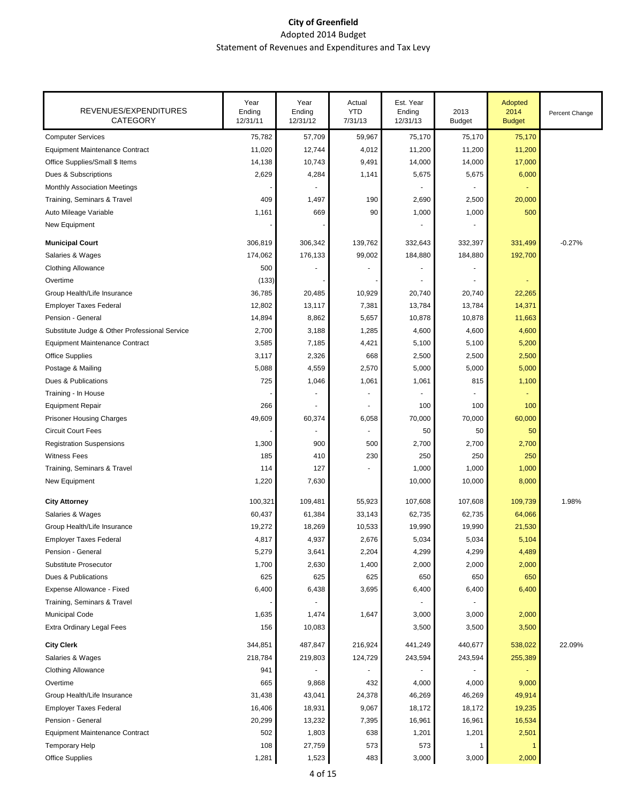| 75,782<br>57,709<br>59,967<br>75,170<br>75,170<br>75,170<br>11,020<br>12,744<br>4,012<br>11,200<br>11,200<br>11,200<br>10,743<br>9,491<br>14,000<br>17,000<br>14,138<br>14,000<br>5,675<br>2,629<br>4,284<br>1,141<br>5,675<br>6,000<br>409<br>1,497<br>190<br>2,690<br>2,500<br>20,000<br>1,161<br>669<br>90<br>1,000<br>1,000<br>500<br>306,819<br>306,342<br>139,762<br>332,643<br>332,397<br>331,499<br>$-0.27%$<br>174,062<br>176,133<br>99,002<br>184,880<br>192,700<br>184,880<br>500<br>(133)<br>36,785<br>20,485<br>10,929<br>20,740<br>20,740<br>22,265<br>7,381<br>13,784<br>14,371<br>12,802<br>13,117<br>13,784<br>14,894<br>8,862<br>5,657<br>10,878<br>10,878<br>11,663<br>2,700<br>3,188<br>1,285<br>4,600<br>4,600<br>4,600<br>3,585<br>7,185<br>4,421<br>5,200<br>5,100<br>5,100<br>3,117<br>2,326<br>668<br>2,500<br>2,500<br>2,500<br>5,088<br>4,559<br>2,570<br>5,000<br>5,000<br>5,000<br>725<br>1,061<br>815<br>1,046<br>1,061<br>1,100<br>266<br>100<br>100<br>100<br>49,609<br>60,000<br>60,374<br>6,058<br>70,000<br>70,000<br>50<br>50<br>50<br>1,300<br>900<br>500<br>2,700<br>2,700<br>2,700<br>250<br>185<br>410<br>230<br>250<br>250<br>1,000<br>127<br>1,000<br>1,000<br>114<br>1,220<br>7,630<br>10,000<br>10,000<br>8,000<br>100,321<br>109,481<br>55,923<br>107,608<br>107,608<br>109,739<br>1.98%<br>60,437<br>61,384<br>Salaries & Wages<br>33,143<br>62,735<br>62,735<br>64,066<br>19,272<br>19,990<br>18,269<br>10,533<br>19,990<br>21,530<br>4,817<br>2,676<br>4,937<br>5,034<br>5,034<br>5,104<br><b>Employer Taxes Federal</b><br>5,279<br>3,641<br>2,204<br>4,299<br>4,299<br>4,489<br>1,700<br>2,630<br>1,400<br>2,000<br>2,000<br>2,000<br>625<br>625<br>625<br>650<br>650<br>650<br>6,400<br>3,695<br>6,400<br>6,438<br>6,400<br>6,400<br>1,635<br>1,474<br>1,647<br>3,000<br>3,000<br>2,000<br>156<br>10,083<br>3,500<br>3,500<br>3,500<br><b>City Clerk</b><br>344,851<br>487,847<br>216,924<br>441,249<br>440,677<br>538,022<br>22.09%<br>218,784<br>219,803<br>255,389<br>Salaries & Wages<br>124,729<br>243,594<br>243,594<br>941<br><b>Clothing Allowance</b><br>665<br>9,868<br>432<br>4,000<br>4,000<br>9,000<br>46,269<br>49,914<br>Group Health/Life Insurance<br>31,438<br>43,041<br>24,378<br>46,269<br>18,931<br>9,067<br>18,172<br>19,235<br><b>Employer Taxes Federal</b><br>16,406<br>18,172<br>20,299<br>13,232<br>16,534<br>Pension - General<br>7,395<br>16,961<br>16,961<br>502<br>638<br>1,201<br>2,501<br>1,803<br>1,201<br><b>Equipment Maintenance Contract</b><br>573<br><b>Temporary Help</b><br>108<br>27,759<br>573<br>1<br>-1<br>2,000<br>1,281<br>1,523<br>483<br>3,000<br>3,000 | REVENUES/EXPENDITURES<br><b>CATEGORY</b>      | Year<br>Ending<br>12/31/11 | Year<br>Ending<br>12/31/12 | Actual<br><b>YTD</b><br>7/31/13 | Est. Year<br>Ending<br>12/31/13 | 2013<br><b>Budget</b> | Adopted<br>2014<br><b>Budget</b> | Percent Change |
|--------------------------------------------------------------------------------------------------------------------------------------------------------------------------------------------------------------------------------------------------------------------------------------------------------------------------------------------------------------------------------------------------------------------------------------------------------------------------------------------------------------------------------------------------------------------------------------------------------------------------------------------------------------------------------------------------------------------------------------------------------------------------------------------------------------------------------------------------------------------------------------------------------------------------------------------------------------------------------------------------------------------------------------------------------------------------------------------------------------------------------------------------------------------------------------------------------------------------------------------------------------------------------------------------------------------------------------------------------------------------------------------------------------------------------------------------------------------------------------------------------------------------------------------------------------------------------------------------------------------------------------------------------------------------------------------------------------------------------------------------------------------------------------------------------------------------------------------------------------------------------------------------------------------------------------------------------------------------------------------------------------------------------------------------------------------------------------------------------------------------------------------------------------------------------------------------------------------------------------------------------------------------------------------------------------------------------------------------------------------------------------------------------------------------------------------------------------------------------------------------------------------------------------------------------------------------------------------------------------------------------------------------------------|-----------------------------------------------|----------------------------|----------------------------|---------------------------------|---------------------------------|-----------------------|----------------------------------|----------------|
|                                                                                                                                                                                                                                                                                                                                                                                                                                                                                                                                                                                                                                                                                                                                                                                                                                                                                                                                                                                                                                                                                                                                                                                                                                                                                                                                                                                                                                                                                                                                                                                                                                                                                                                                                                                                                                                                                                                                                                                                                                                                                                                                                                                                                                                                                                                                                                                                                                                                                                                                                                                                                                                              | <b>Computer Services</b>                      |                            |                            |                                 |                                 |                       |                                  |                |
|                                                                                                                                                                                                                                                                                                                                                                                                                                                                                                                                                                                                                                                                                                                                                                                                                                                                                                                                                                                                                                                                                                                                                                                                                                                                                                                                                                                                                                                                                                                                                                                                                                                                                                                                                                                                                                                                                                                                                                                                                                                                                                                                                                                                                                                                                                                                                                                                                                                                                                                                                                                                                                                              | <b>Equipment Maintenance Contract</b>         |                            |                            |                                 |                                 |                       |                                  |                |
|                                                                                                                                                                                                                                                                                                                                                                                                                                                                                                                                                                                                                                                                                                                                                                                                                                                                                                                                                                                                                                                                                                                                                                                                                                                                                                                                                                                                                                                                                                                                                                                                                                                                                                                                                                                                                                                                                                                                                                                                                                                                                                                                                                                                                                                                                                                                                                                                                                                                                                                                                                                                                                                              | Office Supplies/Small \$ Items                |                            |                            |                                 |                                 |                       |                                  |                |
|                                                                                                                                                                                                                                                                                                                                                                                                                                                                                                                                                                                                                                                                                                                                                                                                                                                                                                                                                                                                                                                                                                                                                                                                                                                                                                                                                                                                                                                                                                                                                                                                                                                                                                                                                                                                                                                                                                                                                                                                                                                                                                                                                                                                                                                                                                                                                                                                                                                                                                                                                                                                                                                              | Dues & Subscriptions                          |                            |                            |                                 |                                 |                       |                                  |                |
|                                                                                                                                                                                                                                                                                                                                                                                                                                                                                                                                                                                                                                                                                                                                                                                                                                                                                                                                                                                                                                                                                                                                                                                                                                                                                                                                                                                                                                                                                                                                                                                                                                                                                                                                                                                                                                                                                                                                                                                                                                                                                                                                                                                                                                                                                                                                                                                                                                                                                                                                                                                                                                                              | Monthly Association Meetings                  |                            |                            |                                 |                                 |                       |                                  |                |
|                                                                                                                                                                                                                                                                                                                                                                                                                                                                                                                                                                                                                                                                                                                                                                                                                                                                                                                                                                                                                                                                                                                                                                                                                                                                                                                                                                                                                                                                                                                                                                                                                                                                                                                                                                                                                                                                                                                                                                                                                                                                                                                                                                                                                                                                                                                                                                                                                                                                                                                                                                                                                                                              | Training, Seminars & Travel                   |                            |                            |                                 |                                 |                       |                                  |                |
|                                                                                                                                                                                                                                                                                                                                                                                                                                                                                                                                                                                                                                                                                                                                                                                                                                                                                                                                                                                                                                                                                                                                                                                                                                                                                                                                                                                                                                                                                                                                                                                                                                                                                                                                                                                                                                                                                                                                                                                                                                                                                                                                                                                                                                                                                                                                                                                                                                                                                                                                                                                                                                                              | Auto Mileage Variable                         |                            |                            |                                 |                                 |                       |                                  |                |
|                                                                                                                                                                                                                                                                                                                                                                                                                                                                                                                                                                                                                                                                                                                                                                                                                                                                                                                                                                                                                                                                                                                                                                                                                                                                                                                                                                                                                                                                                                                                                                                                                                                                                                                                                                                                                                                                                                                                                                                                                                                                                                                                                                                                                                                                                                                                                                                                                                                                                                                                                                                                                                                              | New Equipment                                 |                            |                            |                                 |                                 |                       |                                  |                |
|                                                                                                                                                                                                                                                                                                                                                                                                                                                                                                                                                                                                                                                                                                                                                                                                                                                                                                                                                                                                                                                                                                                                                                                                                                                                                                                                                                                                                                                                                                                                                                                                                                                                                                                                                                                                                                                                                                                                                                                                                                                                                                                                                                                                                                                                                                                                                                                                                                                                                                                                                                                                                                                              | <b>Municipal Court</b>                        |                            |                            |                                 |                                 |                       |                                  |                |
|                                                                                                                                                                                                                                                                                                                                                                                                                                                                                                                                                                                                                                                                                                                                                                                                                                                                                                                                                                                                                                                                                                                                                                                                                                                                                                                                                                                                                                                                                                                                                                                                                                                                                                                                                                                                                                                                                                                                                                                                                                                                                                                                                                                                                                                                                                                                                                                                                                                                                                                                                                                                                                                              | Salaries & Wages                              |                            |                            |                                 |                                 |                       |                                  |                |
|                                                                                                                                                                                                                                                                                                                                                                                                                                                                                                                                                                                                                                                                                                                                                                                                                                                                                                                                                                                                                                                                                                                                                                                                                                                                                                                                                                                                                                                                                                                                                                                                                                                                                                                                                                                                                                                                                                                                                                                                                                                                                                                                                                                                                                                                                                                                                                                                                                                                                                                                                                                                                                                              | <b>Clothing Allowance</b>                     |                            |                            |                                 |                                 |                       |                                  |                |
|                                                                                                                                                                                                                                                                                                                                                                                                                                                                                                                                                                                                                                                                                                                                                                                                                                                                                                                                                                                                                                                                                                                                                                                                                                                                                                                                                                                                                                                                                                                                                                                                                                                                                                                                                                                                                                                                                                                                                                                                                                                                                                                                                                                                                                                                                                                                                                                                                                                                                                                                                                                                                                                              | Overtime                                      |                            |                            |                                 |                                 |                       |                                  |                |
|                                                                                                                                                                                                                                                                                                                                                                                                                                                                                                                                                                                                                                                                                                                                                                                                                                                                                                                                                                                                                                                                                                                                                                                                                                                                                                                                                                                                                                                                                                                                                                                                                                                                                                                                                                                                                                                                                                                                                                                                                                                                                                                                                                                                                                                                                                                                                                                                                                                                                                                                                                                                                                                              | Group Health/Life Insurance                   |                            |                            |                                 |                                 |                       |                                  |                |
|                                                                                                                                                                                                                                                                                                                                                                                                                                                                                                                                                                                                                                                                                                                                                                                                                                                                                                                                                                                                                                                                                                                                                                                                                                                                                                                                                                                                                                                                                                                                                                                                                                                                                                                                                                                                                                                                                                                                                                                                                                                                                                                                                                                                                                                                                                                                                                                                                                                                                                                                                                                                                                                              | <b>Employer Taxes Federal</b>                 |                            |                            |                                 |                                 |                       |                                  |                |
|                                                                                                                                                                                                                                                                                                                                                                                                                                                                                                                                                                                                                                                                                                                                                                                                                                                                                                                                                                                                                                                                                                                                                                                                                                                                                                                                                                                                                                                                                                                                                                                                                                                                                                                                                                                                                                                                                                                                                                                                                                                                                                                                                                                                                                                                                                                                                                                                                                                                                                                                                                                                                                                              | Pension - General                             |                            |                            |                                 |                                 |                       |                                  |                |
|                                                                                                                                                                                                                                                                                                                                                                                                                                                                                                                                                                                                                                                                                                                                                                                                                                                                                                                                                                                                                                                                                                                                                                                                                                                                                                                                                                                                                                                                                                                                                                                                                                                                                                                                                                                                                                                                                                                                                                                                                                                                                                                                                                                                                                                                                                                                                                                                                                                                                                                                                                                                                                                              | Substitute Judge & Other Professional Service |                            |                            |                                 |                                 |                       |                                  |                |
|                                                                                                                                                                                                                                                                                                                                                                                                                                                                                                                                                                                                                                                                                                                                                                                                                                                                                                                                                                                                                                                                                                                                                                                                                                                                                                                                                                                                                                                                                                                                                                                                                                                                                                                                                                                                                                                                                                                                                                                                                                                                                                                                                                                                                                                                                                                                                                                                                                                                                                                                                                                                                                                              | <b>Equipment Maintenance Contract</b>         |                            |                            |                                 |                                 |                       |                                  |                |
|                                                                                                                                                                                                                                                                                                                                                                                                                                                                                                                                                                                                                                                                                                                                                                                                                                                                                                                                                                                                                                                                                                                                                                                                                                                                                                                                                                                                                                                                                                                                                                                                                                                                                                                                                                                                                                                                                                                                                                                                                                                                                                                                                                                                                                                                                                                                                                                                                                                                                                                                                                                                                                                              | <b>Office Supplies</b>                        |                            |                            |                                 |                                 |                       |                                  |                |
|                                                                                                                                                                                                                                                                                                                                                                                                                                                                                                                                                                                                                                                                                                                                                                                                                                                                                                                                                                                                                                                                                                                                                                                                                                                                                                                                                                                                                                                                                                                                                                                                                                                                                                                                                                                                                                                                                                                                                                                                                                                                                                                                                                                                                                                                                                                                                                                                                                                                                                                                                                                                                                                              | Postage & Mailing                             |                            |                            |                                 |                                 |                       |                                  |                |
|                                                                                                                                                                                                                                                                                                                                                                                                                                                                                                                                                                                                                                                                                                                                                                                                                                                                                                                                                                                                                                                                                                                                                                                                                                                                                                                                                                                                                                                                                                                                                                                                                                                                                                                                                                                                                                                                                                                                                                                                                                                                                                                                                                                                                                                                                                                                                                                                                                                                                                                                                                                                                                                              | Dues & Publications                           |                            |                            |                                 |                                 |                       |                                  |                |
|                                                                                                                                                                                                                                                                                                                                                                                                                                                                                                                                                                                                                                                                                                                                                                                                                                                                                                                                                                                                                                                                                                                                                                                                                                                                                                                                                                                                                                                                                                                                                                                                                                                                                                                                                                                                                                                                                                                                                                                                                                                                                                                                                                                                                                                                                                                                                                                                                                                                                                                                                                                                                                                              | Training - In House                           |                            |                            |                                 |                                 |                       |                                  |                |
|                                                                                                                                                                                                                                                                                                                                                                                                                                                                                                                                                                                                                                                                                                                                                                                                                                                                                                                                                                                                                                                                                                                                                                                                                                                                                                                                                                                                                                                                                                                                                                                                                                                                                                                                                                                                                                                                                                                                                                                                                                                                                                                                                                                                                                                                                                                                                                                                                                                                                                                                                                                                                                                              | <b>Equipment Repair</b>                       |                            |                            |                                 |                                 |                       |                                  |                |
|                                                                                                                                                                                                                                                                                                                                                                                                                                                                                                                                                                                                                                                                                                                                                                                                                                                                                                                                                                                                                                                                                                                                                                                                                                                                                                                                                                                                                                                                                                                                                                                                                                                                                                                                                                                                                                                                                                                                                                                                                                                                                                                                                                                                                                                                                                                                                                                                                                                                                                                                                                                                                                                              | <b>Prisoner Housing Charges</b>               |                            |                            |                                 |                                 |                       |                                  |                |
|                                                                                                                                                                                                                                                                                                                                                                                                                                                                                                                                                                                                                                                                                                                                                                                                                                                                                                                                                                                                                                                                                                                                                                                                                                                                                                                                                                                                                                                                                                                                                                                                                                                                                                                                                                                                                                                                                                                                                                                                                                                                                                                                                                                                                                                                                                                                                                                                                                                                                                                                                                                                                                                              | <b>Circuit Court Fees</b>                     |                            |                            |                                 |                                 |                       |                                  |                |
|                                                                                                                                                                                                                                                                                                                                                                                                                                                                                                                                                                                                                                                                                                                                                                                                                                                                                                                                                                                                                                                                                                                                                                                                                                                                                                                                                                                                                                                                                                                                                                                                                                                                                                                                                                                                                                                                                                                                                                                                                                                                                                                                                                                                                                                                                                                                                                                                                                                                                                                                                                                                                                                              | <b>Registration Suspensions</b>               |                            |                            |                                 |                                 |                       |                                  |                |
|                                                                                                                                                                                                                                                                                                                                                                                                                                                                                                                                                                                                                                                                                                                                                                                                                                                                                                                                                                                                                                                                                                                                                                                                                                                                                                                                                                                                                                                                                                                                                                                                                                                                                                                                                                                                                                                                                                                                                                                                                                                                                                                                                                                                                                                                                                                                                                                                                                                                                                                                                                                                                                                              | <b>Witness Fees</b>                           |                            |                            |                                 |                                 |                       |                                  |                |
|                                                                                                                                                                                                                                                                                                                                                                                                                                                                                                                                                                                                                                                                                                                                                                                                                                                                                                                                                                                                                                                                                                                                                                                                                                                                                                                                                                                                                                                                                                                                                                                                                                                                                                                                                                                                                                                                                                                                                                                                                                                                                                                                                                                                                                                                                                                                                                                                                                                                                                                                                                                                                                                              | Training, Seminars & Travel                   |                            |                            |                                 |                                 |                       |                                  |                |
|                                                                                                                                                                                                                                                                                                                                                                                                                                                                                                                                                                                                                                                                                                                                                                                                                                                                                                                                                                                                                                                                                                                                                                                                                                                                                                                                                                                                                                                                                                                                                                                                                                                                                                                                                                                                                                                                                                                                                                                                                                                                                                                                                                                                                                                                                                                                                                                                                                                                                                                                                                                                                                                              | New Equipment                                 |                            |                            |                                 |                                 |                       |                                  |                |
|                                                                                                                                                                                                                                                                                                                                                                                                                                                                                                                                                                                                                                                                                                                                                                                                                                                                                                                                                                                                                                                                                                                                                                                                                                                                                                                                                                                                                                                                                                                                                                                                                                                                                                                                                                                                                                                                                                                                                                                                                                                                                                                                                                                                                                                                                                                                                                                                                                                                                                                                                                                                                                                              | <b>City Attorney</b>                          |                            |                            |                                 |                                 |                       |                                  |                |
|                                                                                                                                                                                                                                                                                                                                                                                                                                                                                                                                                                                                                                                                                                                                                                                                                                                                                                                                                                                                                                                                                                                                                                                                                                                                                                                                                                                                                                                                                                                                                                                                                                                                                                                                                                                                                                                                                                                                                                                                                                                                                                                                                                                                                                                                                                                                                                                                                                                                                                                                                                                                                                                              |                                               |                            |                            |                                 |                                 |                       |                                  |                |
|                                                                                                                                                                                                                                                                                                                                                                                                                                                                                                                                                                                                                                                                                                                                                                                                                                                                                                                                                                                                                                                                                                                                                                                                                                                                                                                                                                                                                                                                                                                                                                                                                                                                                                                                                                                                                                                                                                                                                                                                                                                                                                                                                                                                                                                                                                                                                                                                                                                                                                                                                                                                                                                              | Group Health/Life Insurance                   |                            |                            |                                 |                                 |                       |                                  |                |
|                                                                                                                                                                                                                                                                                                                                                                                                                                                                                                                                                                                                                                                                                                                                                                                                                                                                                                                                                                                                                                                                                                                                                                                                                                                                                                                                                                                                                                                                                                                                                                                                                                                                                                                                                                                                                                                                                                                                                                                                                                                                                                                                                                                                                                                                                                                                                                                                                                                                                                                                                                                                                                                              |                                               |                            |                            |                                 |                                 |                       |                                  |                |
|                                                                                                                                                                                                                                                                                                                                                                                                                                                                                                                                                                                                                                                                                                                                                                                                                                                                                                                                                                                                                                                                                                                                                                                                                                                                                                                                                                                                                                                                                                                                                                                                                                                                                                                                                                                                                                                                                                                                                                                                                                                                                                                                                                                                                                                                                                                                                                                                                                                                                                                                                                                                                                                              | Pension - General                             |                            |                            |                                 |                                 |                       |                                  |                |
|                                                                                                                                                                                                                                                                                                                                                                                                                                                                                                                                                                                                                                                                                                                                                                                                                                                                                                                                                                                                                                                                                                                                                                                                                                                                                                                                                                                                                                                                                                                                                                                                                                                                                                                                                                                                                                                                                                                                                                                                                                                                                                                                                                                                                                                                                                                                                                                                                                                                                                                                                                                                                                                              | Substitute Prosecutor                         |                            |                            |                                 |                                 |                       |                                  |                |
|                                                                                                                                                                                                                                                                                                                                                                                                                                                                                                                                                                                                                                                                                                                                                                                                                                                                                                                                                                                                                                                                                                                                                                                                                                                                                                                                                                                                                                                                                                                                                                                                                                                                                                                                                                                                                                                                                                                                                                                                                                                                                                                                                                                                                                                                                                                                                                                                                                                                                                                                                                                                                                                              | Dues & Publications                           |                            |                            |                                 |                                 |                       |                                  |                |
|                                                                                                                                                                                                                                                                                                                                                                                                                                                                                                                                                                                                                                                                                                                                                                                                                                                                                                                                                                                                                                                                                                                                                                                                                                                                                                                                                                                                                                                                                                                                                                                                                                                                                                                                                                                                                                                                                                                                                                                                                                                                                                                                                                                                                                                                                                                                                                                                                                                                                                                                                                                                                                                              | Expense Allowance - Fixed                     |                            |                            |                                 |                                 |                       |                                  |                |
|                                                                                                                                                                                                                                                                                                                                                                                                                                                                                                                                                                                                                                                                                                                                                                                                                                                                                                                                                                                                                                                                                                                                                                                                                                                                                                                                                                                                                                                                                                                                                                                                                                                                                                                                                                                                                                                                                                                                                                                                                                                                                                                                                                                                                                                                                                                                                                                                                                                                                                                                                                                                                                                              | Training, Seminars & Travel                   |                            |                            |                                 |                                 |                       |                                  |                |
|                                                                                                                                                                                                                                                                                                                                                                                                                                                                                                                                                                                                                                                                                                                                                                                                                                                                                                                                                                                                                                                                                                                                                                                                                                                                                                                                                                                                                                                                                                                                                                                                                                                                                                                                                                                                                                                                                                                                                                                                                                                                                                                                                                                                                                                                                                                                                                                                                                                                                                                                                                                                                                                              | Municipal Code                                |                            |                            |                                 |                                 |                       |                                  |                |
|                                                                                                                                                                                                                                                                                                                                                                                                                                                                                                                                                                                                                                                                                                                                                                                                                                                                                                                                                                                                                                                                                                                                                                                                                                                                                                                                                                                                                                                                                                                                                                                                                                                                                                                                                                                                                                                                                                                                                                                                                                                                                                                                                                                                                                                                                                                                                                                                                                                                                                                                                                                                                                                              | <b>Extra Ordinary Legal Fees</b>              |                            |                            |                                 |                                 |                       |                                  |                |
|                                                                                                                                                                                                                                                                                                                                                                                                                                                                                                                                                                                                                                                                                                                                                                                                                                                                                                                                                                                                                                                                                                                                                                                                                                                                                                                                                                                                                                                                                                                                                                                                                                                                                                                                                                                                                                                                                                                                                                                                                                                                                                                                                                                                                                                                                                                                                                                                                                                                                                                                                                                                                                                              |                                               |                            |                            |                                 |                                 |                       |                                  |                |
|                                                                                                                                                                                                                                                                                                                                                                                                                                                                                                                                                                                                                                                                                                                                                                                                                                                                                                                                                                                                                                                                                                                                                                                                                                                                                                                                                                                                                                                                                                                                                                                                                                                                                                                                                                                                                                                                                                                                                                                                                                                                                                                                                                                                                                                                                                                                                                                                                                                                                                                                                                                                                                                              |                                               |                            |                            |                                 |                                 |                       |                                  |                |
|                                                                                                                                                                                                                                                                                                                                                                                                                                                                                                                                                                                                                                                                                                                                                                                                                                                                                                                                                                                                                                                                                                                                                                                                                                                                                                                                                                                                                                                                                                                                                                                                                                                                                                                                                                                                                                                                                                                                                                                                                                                                                                                                                                                                                                                                                                                                                                                                                                                                                                                                                                                                                                                              |                                               |                            |                            |                                 |                                 |                       |                                  |                |
|                                                                                                                                                                                                                                                                                                                                                                                                                                                                                                                                                                                                                                                                                                                                                                                                                                                                                                                                                                                                                                                                                                                                                                                                                                                                                                                                                                                                                                                                                                                                                                                                                                                                                                                                                                                                                                                                                                                                                                                                                                                                                                                                                                                                                                                                                                                                                                                                                                                                                                                                                                                                                                                              | Overtime                                      |                            |                            |                                 |                                 |                       |                                  |                |
|                                                                                                                                                                                                                                                                                                                                                                                                                                                                                                                                                                                                                                                                                                                                                                                                                                                                                                                                                                                                                                                                                                                                                                                                                                                                                                                                                                                                                                                                                                                                                                                                                                                                                                                                                                                                                                                                                                                                                                                                                                                                                                                                                                                                                                                                                                                                                                                                                                                                                                                                                                                                                                                              |                                               |                            |                            |                                 |                                 |                       |                                  |                |
|                                                                                                                                                                                                                                                                                                                                                                                                                                                                                                                                                                                                                                                                                                                                                                                                                                                                                                                                                                                                                                                                                                                                                                                                                                                                                                                                                                                                                                                                                                                                                                                                                                                                                                                                                                                                                                                                                                                                                                                                                                                                                                                                                                                                                                                                                                                                                                                                                                                                                                                                                                                                                                                              |                                               |                            |                            |                                 |                                 |                       |                                  |                |
|                                                                                                                                                                                                                                                                                                                                                                                                                                                                                                                                                                                                                                                                                                                                                                                                                                                                                                                                                                                                                                                                                                                                                                                                                                                                                                                                                                                                                                                                                                                                                                                                                                                                                                                                                                                                                                                                                                                                                                                                                                                                                                                                                                                                                                                                                                                                                                                                                                                                                                                                                                                                                                                              |                                               |                            |                            |                                 |                                 |                       |                                  |                |
|                                                                                                                                                                                                                                                                                                                                                                                                                                                                                                                                                                                                                                                                                                                                                                                                                                                                                                                                                                                                                                                                                                                                                                                                                                                                                                                                                                                                                                                                                                                                                                                                                                                                                                                                                                                                                                                                                                                                                                                                                                                                                                                                                                                                                                                                                                                                                                                                                                                                                                                                                                                                                                                              |                                               |                            |                            |                                 |                                 |                       |                                  |                |
|                                                                                                                                                                                                                                                                                                                                                                                                                                                                                                                                                                                                                                                                                                                                                                                                                                                                                                                                                                                                                                                                                                                                                                                                                                                                                                                                                                                                                                                                                                                                                                                                                                                                                                                                                                                                                                                                                                                                                                                                                                                                                                                                                                                                                                                                                                                                                                                                                                                                                                                                                                                                                                                              |                                               |                            |                            |                                 |                                 |                       |                                  |                |
|                                                                                                                                                                                                                                                                                                                                                                                                                                                                                                                                                                                                                                                                                                                                                                                                                                                                                                                                                                                                                                                                                                                                                                                                                                                                                                                                                                                                                                                                                                                                                                                                                                                                                                                                                                                                                                                                                                                                                                                                                                                                                                                                                                                                                                                                                                                                                                                                                                                                                                                                                                                                                                                              | Office Supplies                               |                            |                            |                                 |                                 |                       |                                  |                |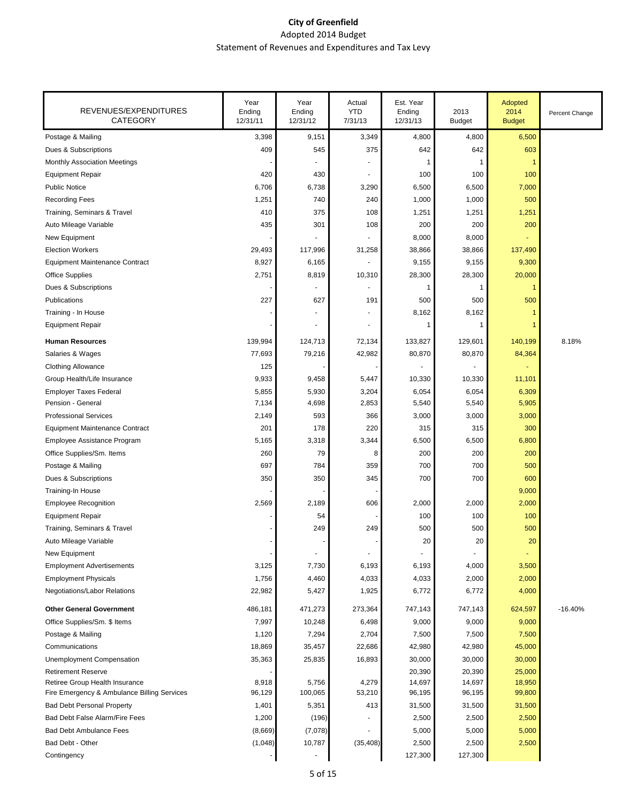| REVENUES/EXPENDITURES<br><b>CATEGORY</b>    | Year<br>Ending<br>12/31/11 | Year<br>Ending<br>12/31/12 | Actual<br><b>YTD</b><br>7/31/13 | Est. Year<br>Ending<br>12/31/13 | 2013<br><b>Budget</b> | Adopted<br>2014<br><b>Budget</b> | Percent Change |
|---------------------------------------------|----------------------------|----------------------------|---------------------------------|---------------------------------|-----------------------|----------------------------------|----------------|
| Postage & Mailing                           | 3,398                      | 9,151                      | 3,349                           | 4,800                           | 4,800                 | 6,500                            |                |
| Dues & Subscriptions                        | 409                        | 545                        | 375                             | 642                             | 642                   | 603                              |                |
| <b>Monthly Association Meetings</b>         |                            |                            |                                 |                                 | 1                     |                                  |                |
| <b>Equipment Repair</b>                     | 420                        | 430                        |                                 | 100                             | 100                   | 100                              |                |
| <b>Public Notice</b>                        | 6,706                      | 6,738                      | 3,290                           | 6,500                           | 6,500                 | 7,000                            |                |
| <b>Recording Fees</b>                       | 1,251                      | 740                        | 240                             | 1,000                           | 1,000                 | 500                              |                |
| Training, Seminars & Travel                 | 410                        | 375                        | 108                             | 1,251                           | 1,251                 | 1,251                            |                |
| Auto Mileage Variable                       | 435                        | 301                        | 108                             | 200                             | 200                   | 200                              |                |
| New Equipment                               |                            |                            |                                 | 8,000                           | 8,000                 |                                  |                |
| <b>Election Workers</b>                     | 29,493                     | 117,996                    | 31,258                          | 38,866                          | 38,866                | 137,490                          |                |
| <b>Equipment Maintenance Contract</b>       | 8,927                      | 6,165                      |                                 | 9,155                           | 9,155                 | 9,300                            |                |
| <b>Office Supplies</b>                      | 2,751                      | 8,819                      | 10,310                          | 28,300                          | 28,300                | 20,000                           |                |
| Dues & Subscriptions                        |                            |                            |                                 | 1                               | 1                     | 1                                |                |
| Publications                                | 227                        | 627                        | 191                             | 500                             | 500                   | 500                              |                |
| Training - In House                         |                            | $\overline{\phantom{a}}$   |                                 | 8,162                           | 8,162                 |                                  |                |
| <b>Equipment Repair</b>                     |                            |                            |                                 |                                 |                       |                                  |                |
| <b>Human Resources</b>                      | 139,994                    | 124,713                    | 72,134                          | 133,827                         | 129,601               | 140,199                          | 8.18%          |
| Salaries & Wages                            | 77,693                     | 79,216                     | 42,982                          | 80,870                          | 80,870                | 84,364                           |                |
| <b>Clothing Allowance</b>                   | 125                        |                            |                                 |                                 |                       |                                  |                |
| Group Health/Life Insurance                 | 9,933                      | 9,458                      | 5,447                           | 10,330                          | 10,330                | 11,101                           |                |
| <b>Employer Taxes Federal</b>               | 5,855                      | 5,930                      | 3,204                           | 6,054                           | 6,054                 | 6,309                            |                |
| Pension - General                           | 7,134                      | 4,698                      | 2,853                           | 5,540                           | 5,540                 | 5,905                            |                |
| <b>Professional Services</b>                | 2,149                      | 593                        | 366                             | 3,000                           | 3,000                 | 3,000                            |                |
| <b>Equipment Maintenance Contract</b>       | 201                        | 178                        | 220                             | 315                             | 315                   | 300                              |                |
| Employee Assistance Program                 | 5,165                      | 3,318                      | 3,344                           | 6,500                           | 6,500                 | 6,800                            |                |
| Office Supplies/Sm. Items                   | 260                        | 79                         | 8                               | 200                             | 200                   | 200                              |                |
| Postage & Mailing                           | 697                        | 784                        | 359                             | 700                             | 700                   | 500                              |                |
| Dues & Subscriptions                        | 350                        | 350                        | 345                             | 700                             | 700                   | 600                              |                |
| Training-In House                           |                            |                            |                                 |                                 |                       | 9,000                            |                |
| <b>Employee Recognition</b>                 | 2,569                      | 2,189                      | 606                             | 2,000                           | 2,000                 | 2,000                            |                |
| <b>Equipment Repair</b>                     |                            | 54                         |                                 | 100                             | 100                   | 100                              |                |
| Training, Seminars & Travel                 |                            | 249                        | 249                             | 500                             | 500                   | 500                              |                |
| Auto Mileage Variable                       |                            |                            |                                 | 20                              | 20                    | 20                               |                |
| New Equipment                               |                            |                            |                                 |                                 |                       |                                  |                |
| <b>Employment Advertisements</b>            | 3,125                      | 7,730                      | 6,193                           | 6,193                           | 4,000                 | 3,500                            |                |
| <b>Employment Physicals</b>                 | 1,756                      | 4,460                      | 4,033                           | 4,033                           | 2,000                 | 2,000                            |                |
| Negotiations/Labor Relations                | 22,982                     | 5,427                      | 1,925                           | 6,772                           | 6,772                 | 4,000                            |                |
| <b>Other General Government</b>             | 486,181                    | 471,273                    | 273,364                         | 747,143                         | 747,143               | 624,597                          | $-16.40%$      |
| Office Supplies/Sm. \$ Items                | 7,997                      | 10,248                     | 6,498                           | 9,000                           | 9,000                 | 9,000                            |                |
| Postage & Mailing                           | 1,120                      | 7,294                      | 2,704                           | 7,500                           | 7,500                 | 7,500                            |                |
| Communications                              | 18,869                     | 35,457                     | 22,686                          | 42,980                          | 42,980                | 45,000                           |                |
| Unemployment Compensation                   | 35,363                     | 25,835                     | 16,893                          | 30,000                          | 30,000                | 30,000                           |                |
| <b>Retirement Reserve</b>                   |                            |                            |                                 | 20,390                          | 20,390                | 25,000                           |                |
| Retiree Group Health Insurance              | 8,918                      | 5,756                      | 4,279                           | 14,697                          | 14,697                | 18,950                           |                |
| Fire Emergency & Ambulance Billing Services | 96,129                     | 100,065                    | 53,210                          | 96,195                          | 96,195                | 99,800                           |                |
| <b>Bad Debt Personal Property</b>           | 1,401                      | 5,351                      | 413                             | 31,500                          | 31,500                | 31,500                           |                |
| <b>Bad Debt False Alarm/Fire Fees</b>       | 1,200                      | (196)                      |                                 | 2,500                           | 2,500                 | 2,500                            |                |
| <b>Bad Debt Ambulance Fees</b>              | (8,669)                    | (7,078)                    |                                 | 5,000                           | 5,000                 | 5,000                            |                |
| Bad Debt - Other                            | (1,048)                    | 10,787                     | (35, 408)                       | 2,500                           | 2,500                 | 2,500                            |                |
| Contingency                                 |                            |                            |                                 | 127,300                         | 127,300               |                                  |                |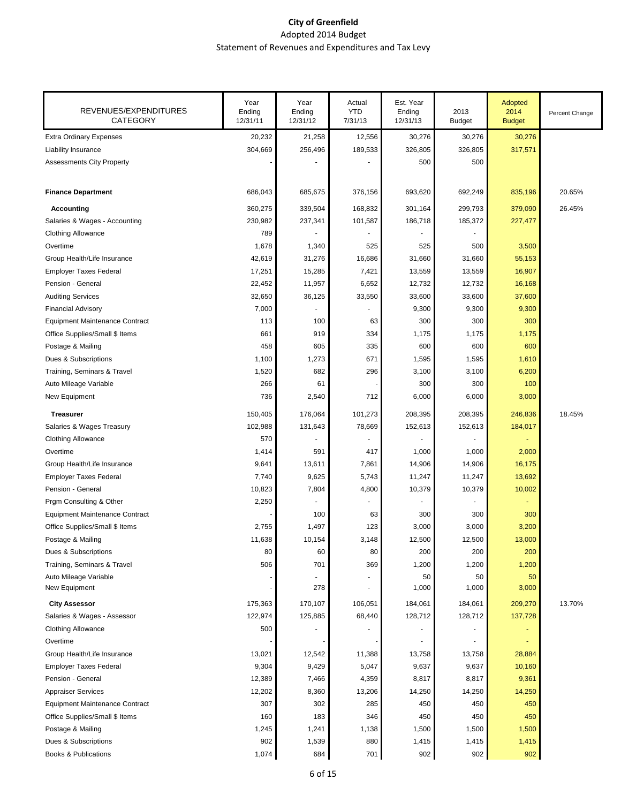| REVENUES/EXPENDITURES<br><b>CATEGORY</b> | Year<br>Ending<br>12/31/11 | Year<br>Ending<br>12/31/12 | Actual<br><b>YTD</b><br>7/31/13 | Est. Year<br>Ending<br>12/31/13 | 2013<br><b>Budget</b> | Adopted<br>2014<br><b>Budget</b> | Percent Change |
|------------------------------------------|----------------------------|----------------------------|---------------------------------|---------------------------------|-----------------------|----------------------------------|----------------|
| <b>Extra Ordinary Expenses</b>           | 20,232                     | 21,258                     | 12,556                          | 30,276                          | 30,276                | 30,276                           |                |
| Liability Insurance                      | 304,669                    | 256,496                    | 189,533                         | 326,805                         | 326,805               | 317,571                          |                |
| <b>Assessments City Property</b>         |                            |                            |                                 | 500                             | 500                   |                                  |                |
| <b>Finance Department</b>                | 686,043                    | 685,675                    | 376,156                         | 693,620                         | 692,249               | 835,196                          | 20.65%         |
| <b>Accounting</b>                        | 360,275                    | 339,504                    | 168,832                         | 301,164                         | 299,793               | 379,090                          | 26.45%         |
| Salaries & Wages - Accounting            | 230,982                    | 237,341                    | 101,587                         | 186,718                         | 185,372               | 227,477                          |                |
| <b>Clothing Allowance</b>                | 789                        |                            |                                 |                                 |                       |                                  |                |
| Overtime                                 | 1,678                      | 1,340                      | 525                             | 525                             | 500                   | 3,500                            |                |
| Group Health/Life Insurance              | 42,619                     | 31,276                     | 16,686                          | 31,660                          | 31,660                | 55,153                           |                |
| <b>Employer Taxes Federal</b>            | 17,251                     | 15,285                     | 7,421                           | 13,559                          | 13,559                | 16,907                           |                |
| Pension - General                        | 22,452                     | 11,957                     | 6,652                           | 12,732                          | 12,732                | 16,168                           |                |
| <b>Auditing Services</b>                 | 32,650                     | 36,125                     | 33,550                          | 33,600                          | 33,600                | 37,600                           |                |
| <b>Financial Advisory</b>                | 7,000                      |                            |                                 | 9,300                           | 9,300                 | 9,300                            |                |
| <b>Equipment Maintenance Contract</b>    | 113                        | 100                        | 63                              | 300                             | 300                   | 300                              |                |
| Office Supplies/Small \$ Items           | 661                        | 919                        | 334                             | 1,175                           | 1,175                 | 1,175                            |                |
| Postage & Mailing                        | 458                        | 605                        | 335                             | 600                             | 600                   | 600                              |                |
| Dues & Subscriptions                     | 1,100                      | 1,273                      | 671                             | 1,595                           | 1,595                 | 1,610                            |                |
| Training, Seminars & Travel              | 1,520                      | 682                        | 296                             | 3,100                           | 3,100                 | 6,200                            |                |
| Auto Mileage Variable                    | 266                        | 61                         |                                 | 300                             | 300                   | 100                              |                |
| New Equipment                            | 736                        | 2,540                      | 712                             | 6,000                           | 6,000                 | 3,000                            |                |
| <b>Treasurer</b>                         | 150,405                    | 176,064                    | 101,273                         | 208,395                         | 208,395               | 246,836                          | 18.45%         |
| Salaries & Wages Treasury                | 102,988                    | 131,643                    | 78,669                          | 152,613                         | 152,613               | 184,017                          |                |
| <b>Clothing Allowance</b>                | 570                        |                            |                                 |                                 |                       |                                  |                |
| Overtime                                 | 1,414                      | 591                        | 417                             | 1,000                           | 1,000                 | 2,000                            |                |
| Group Health/Life Insurance              | 9,641                      | 13,611                     | 7,861                           | 14,906                          | 14,906                | 16,175                           |                |
| <b>Employer Taxes Federal</b>            | 7,740                      | 9,625                      | 5,743                           | 11,247                          | 11,247                | 13,692                           |                |
| Pension - General                        | 10,823                     | 7,804                      | 4,800                           | 10,379                          | 10,379                | 10,002                           |                |
| Prgm Consulting & Other                  | 2,250                      |                            |                                 |                                 |                       |                                  |                |
| <b>Equipment Maintenance Contract</b>    |                            | 100                        | 63                              | 300                             | 300                   | 300                              |                |
| Office Supplies/Small \$ Items           | 2,755                      | 1,497                      | 123                             | 3,000                           | 3,000                 | 3,200                            |                |
| Postage & Mailing                        | 11,638                     | 10,154                     | 3,148                           | 12,500                          | 12,500                | 13,000                           |                |
| Dues & Subscriptions                     | 80                         | 60                         | 80                              | 200                             | 200                   | 200                              |                |
| Training, Seminars & Travel              | 506                        | 701                        | 369                             | 1,200                           | 1,200                 | 1,200                            |                |
| Auto Mileage Variable                    |                            |                            |                                 | 50                              | 50                    | 50                               |                |
| New Equipment                            |                            | 278                        |                                 | 1,000                           | 1,000                 | 3,000                            |                |
| <b>City Assessor</b>                     | 175,363                    | 170,107                    | 106,051                         | 184,061                         | 184,061               | 209,270                          | 13.70%         |
| Salaries & Wages - Assessor              | 122,974                    | 125,885                    | 68,440                          | 128,712                         | 128,712               | 137,728                          |                |
| <b>Clothing Allowance</b>                | 500                        |                            |                                 |                                 |                       |                                  |                |
| Overtime                                 |                            |                            |                                 |                                 |                       |                                  |                |
| Group Health/Life Insurance              | 13,021                     | 12,542                     | 11,388                          | 13,758                          | 13,758                | 28,884                           |                |
| <b>Employer Taxes Federal</b>            | 9,304                      | 9,429                      | 5,047                           | 9,637                           | 9,637                 | 10,160                           |                |
| Pension - General                        | 12,389                     | 7,466                      | 4,359                           | 8,817                           | 8,817                 | 9,361                            |                |
| <b>Appraiser Services</b>                | 12,202                     | 8,360                      | 13,206                          | 14,250                          | 14,250                | 14,250                           |                |
| <b>Equipment Maintenance Contract</b>    | 307                        | 302                        | 285                             | 450                             | 450                   | 450                              |                |
| Office Supplies/Small \$ Items           | 160                        | 183                        | 346                             | 450                             | 450                   | 450                              |                |
| Postage & Mailing                        | 1,245                      | 1,241                      | 1,138                           | 1,500                           | 1,500                 | 1,500                            |                |
| Dues & Subscriptions                     | 902                        | 1,539                      | 880                             | 1,415                           | 1,415                 | 1,415                            |                |
| <b>Books &amp; Publications</b>          | 1,074                      | 684                        | 701                             | 902                             | 902                   | 902                              |                |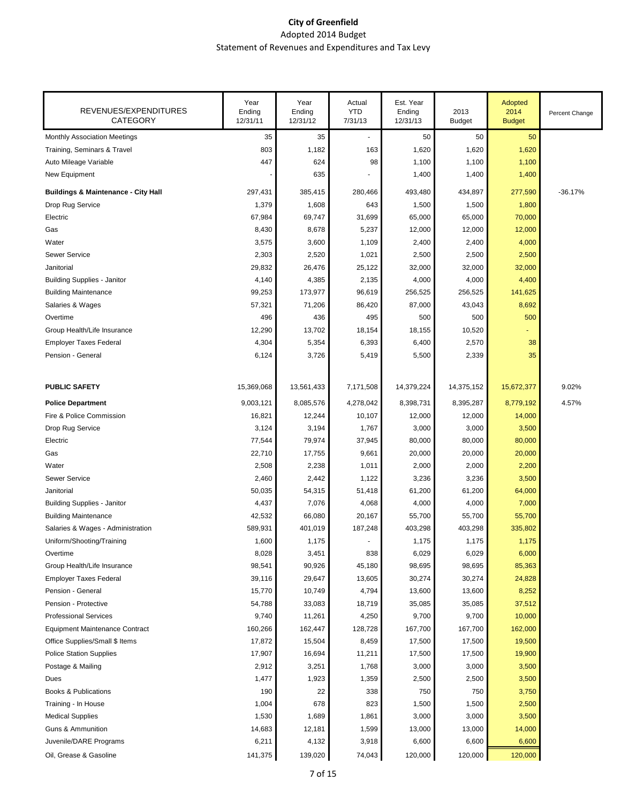| REVENUES/EXPENDITURES<br><b>CATEGORY</b>       | Year<br>Ending<br>12/31/11 | Year<br>Ending<br>12/31/12 | Actual<br><b>YTD</b><br>7/31/13 | Est. Year<br>Ending<br>12/31/13 | 2013<br><b>Budget</b> | Adopted<br>2014<br><b>Budget</b> | Percent Change |
|------------------------------------------------|----------------------------|----------------------------|---------------------------------|---------------------------------|-----------------------|----------------------------------|----------------|
| <b>Monthly Association Meetings</b>            | 35                         | 35                         |                                 | 50                              | 50                    | 50                               |                |
| Training, Seminars & Travel                    | 803                        | 1,182                      | 163                             | 1,620                           | 1,620                 | 1,620                            |                |
| Auto Mileage Variable                          | 447                        | 624                        | 98                              | 1,100                           | 1,100                 | 1,100                            |                |
| New Equipment                                  |                            | 635                        |                                 | 1,400                           | 1,400                 | 1,400                            |                |
| <b>Buildings &amp; Maintenance - City Hall</b> | 297,431                    | 385,415                    | 280,466                         | 493,480                         | 434,897               | 277,590                          | $-36.17%$      |
| Drop Rug Service                               | 1,379                      | 1,608                      | 643                             | 1,500                           | 1,500                 | 1,800                            |                |
| Electric                                       | 67,984                     | 69,747                     | 31,699                          | 65,000                          | 65,000                | 70,000                           |                |
| Gas                                            | 8,430                      | 8,678                      | 5,237                           | 12,000                          | 12,000                | 12,000                           |                |
| Water                                          | 3,575                      | 3,600                      | 1,109                           | 2,400                           | 2,400                 | 4,000                            |                |
| <b>Sewer Service</b>                           | 2,303                      | 2,520                      | 1,021                           | 2,500                           | 2,500                 | 2,500                            |                |
| Janitorial                                     | 29,832                     | 26,476                     | 25,122                          | 32,000                          | 32,000                | 32,000                           |                |
| <b>Building Supplies - Janitor</b>             | 4,140                      | 4,385                      | 2,135                           | 4,000                           | 4,000                 | 4,400                            |                |
| <b>Building Maintenance</b>                    | 99,253                     | 173,977                    | 96,619                          | 256,525                         | 256,525               | 141,625                          |                |
| Salaries & Wages                               | 57,321                     | 71,206                     | 86,420                          | 87,000                          | 43,043                | 8,692                            |                |
| Overtime                                       | 496                        | 436                        | 495                             | 500                             | 500                   | 500                              |                |
| Group Health/Life Insurance                    | 12,290                     | 13,702                     | 18,154                          | 18,155                          | 10,520                |                                  |                |
| <b>Employer Taxes Federal</b>                  | 4,304                      | 5,354                      | 6,393                           | 6,400                           | 2,570                 | 38                               |                |
| Pension - General                              | 6,124                      | 3,726                      | 5,419                           | 5,500                           | 2,339                 | 35                               |                |
|                                                |                            |                            |                                 |                                 |                       |                                  |                |
| <b>PUBLIC SAFETY</b>                           | 15,369,068                 | 13,561,433                 | 7,171,508                       | 14,379,224                      | 14,375,152            | 15,672,377                       | 9.02%          |
| <b>Police Department</b>                       | 9,003,121                  | 8,085,576                  | 4,278,042                       | 8,398,731                       | 8,395,287             | 8,779,192                        | 4.57%          |
| Fire & Police Commission                       | 16,821                     | 12,244                     | 10,107                          | 12,000                          | 12,000                | 14,000                           |                |
| Drop Rug Service                               | 3,124                      | 3,194                      | 1,767                           | 3,000                           | 3,000                 | 3,500                            |                |
| Electric                                       | 77,544                     | 79,974                     | 37,945                          | 80,000                          | 80,000                | 80,000                           |                |
| Gas                                            | 22,710                     | 17,755                     | 9,661                           | 20,000                          | 20,000                | 20,000                           |                |
| Water                                          | 2,508                      | 2,238                      | 1,011                           | 2,000                           | 2,000                 | 2,200                            |                |
| <b>Sewer Service</b>                           | 2,460                      | 2,442                      | 1,122                           | 3,236                           | 3,236                 | 3,500                            |                |
| Janitorial                                     | 50,035                     | 54,315                     | 51,418                          | 61,200                          | 61,200                | 64,000                           |                |
| <b>Building Supplies - Janitor</b>             | 4,437                      | 7,076                      | 4,068                           | 4,000                           | 4,000                 | 7,000                            |                |
| <b>Building Maintenance</b>                    | 42,532                     | 66,080                     | 20,167                          | 55,700                          | 55,700                | 55,700                           |                |
| Salaries & Wages - Administration              | 589,931                    | 401,019                    | 187,248                         | 403,298                         | 403,298               | 335,802                          |                |
| Uniform/Shooting/Training                      | 1,600                      | 1,175                      |                                 | 1,175                           | 1,175                 | 1,175                            |                |
| Overtime                                       | 8,028                      | 3,451                      | 838                             | 6,029                           | 6,029                 | 6,000                            |                |
| Group Health/Life Insurance                    | 98,541                     | 90,926                     | 45,180                          | 98,695                          | 98,695                | 85,363                           |                |
| <b>Employer Taxes Federal</b>                  | 39,116                     | 29,647                     | 13,605                          | 30,274                          | 30,274                | 24,828                           |                |
| Pension - General                              | 15,770                     | 10,749                     | 4,794                           | 13,600                          | 13,600                | 8,252                            |                |
| Pension - Protective                           | 54,788                     | 33,083                     | 18,719                          | 35,085                          | 35,085                | 37,512                           |                |
| <b>Professional Services</b>                   | 9,740                      | 11,261                     | 4,250                           | 9,700                           | 9,700                 | 10,000                           |                |
| <b>Equipment Maintenance Contract</b>          | 160,266                    | 162,447                    | 128,728                         | 167,700                         | 167,700               | 162,000                          |                |
| Office Supplies/Small \$ Items                 | 17,872                     | 15,504                     | 8,459                           | 17,500                          | 17,500                | 19,500                           |                |
| <b>Police Station Supplies</b>                 | 17,907                     | 16,694                     | 11,211                          | 17,500                          | 17,500                | 19,900                           |                |
| Postage & Mailing                              | 2,912                      | 3,251                      | 1,768                           | 3,000                           | 3,000                 | 3,500                            |                |
| Dues                                           | 1,477                      | 1,923                      | 1,359                           | 2,500                           | 2,500                 | 3,500                            |                |
| <b>Books &amp; Publications</b>                | 190                        | 22                         | 338                             | 750                             | 750                   | 3,750                            |                |
| Training - In House                            | 1,004                      | 678                        | 823                             | 1,500                           | 1,500                 | 2,500                            |                |
| <b>Medical Supplies</b>                        | 1,530                      | 1,689                      | 1,861                           | 3,000                           | 3,000                 | 3,500                            |                |
| <b>Guns &amp; Ammunition</b>                   | 14,683                     | 12,181                     | 1,599                           | 13,000                          | 13,000                | 14,000                           |                |
| Juvenile/DARE Programs                         | 6,211                      | 4,132                      | 3,918                           | 6,600                           | 6,600                 | 6,600                            |                |
| Oil, Grease & Gasoline                         | 141,375                    | 139,020                    | 74,043                          | 120,000                         | 120,000               | 120,000                          |                |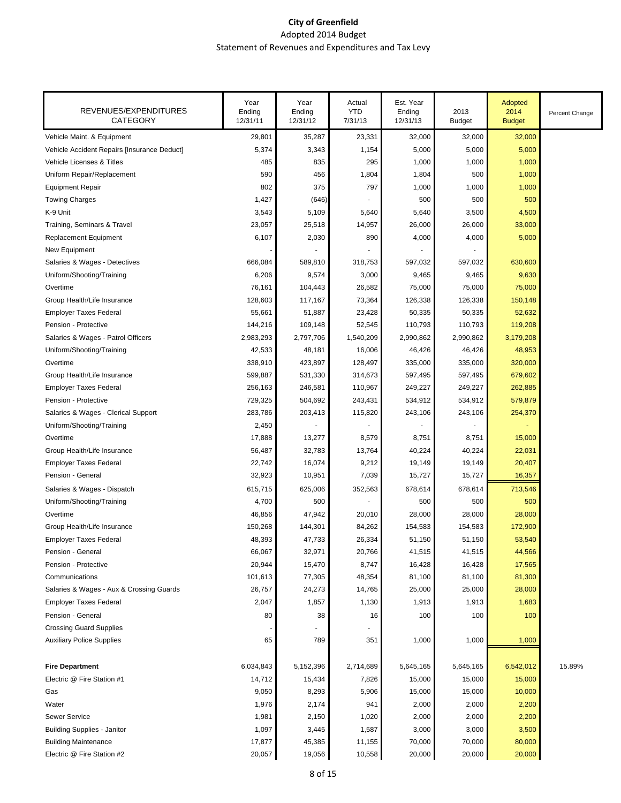| REVENUES/EXPENDITURES<br><b>CATEGORY</b>    | Year<br>Ending<br>12/31/11 | Year<br>Ending<br>12/31/12 | Actual<br><b>YTD</b><br>7/31/13 | Est. Year<br>Ending<br>12/31/13 | 2013<br><b>Budget</b> | Adopted<br>2014<br><b>Budget</b> | Percent Change |
|---------------------------------------------|----------------------------|----------------------------|---------------------------------|---------------------------------|-----------------------|----------------------------------|----------------|
| Vehicle Maint. & Equipment                  | 29,801                     | 35,287                     | 23,331                          | 32,000                          | 32,000                | 32,000                           |                |
| Vehicle Accident Repairs [Insurance Deduct] | 5,374                      | 3,343                      | 1,154                           | 5,000                           | 5,000                 | 5,000                            |                |
| <b>Vehicle Licenses &amp; Titles</b>        | 485                        | 835                        | 295                             | 1,000                           | 1,000                 | 1,000                            |                |
| Uniform Repair/Replacement                  | 590                        | 456                        | 1,804                           | 1,804                           | 500                   | 1,000                            |                |
| <b>Equipment Repair</b>                     | 802                        | 375                        | 797                             | 1,000                           | 1,000                 | 1,000                            |                |
| <b>Towing Charges</b>                       | 1,427                      | (646)                      |                                 | 500                             | 500                   | 500                              |                |
| K-9 Unit                                    | 3,543                      | 5,109                      | 5,640                           | 5,640                           | 3,500                 | 4,500                            |                |
| Training, Seminars & Travel                 | 23,057                     | 25,518                     | 14,957                          | 26,000                          | 26,000                | 33,000                           |                |
| <b>Replacement Equipment</b>                | 6,107                      | 2,030                      | 890                             | 4,000                           | 4,000                 | 5,000                            |                |
| New Equipment                               |                            |                            |                                 |                                 |                       |                                  |                |
| Salaries & Wages - Detectives               | 666,084                    | 589,810                    | 318,753                         | 597,032                         | 597,032               | 630,600                          |                |
| Uniform/Shooting/Training                   | 6,206                      | 9,574                      | 3,000                           | 9,465                           | 9,465                 | 9,630                            |                |
| Overtime                                    | 76,161                     | 104,443                    | 26,582                          | 75,000                          | 75,000                | 75,000                           |                |
| Group Health/Life Insurance                 | 128,603                    | 117,167                    | 73,364                          | 126,338                         | 126,338               | 150,148                          |                |
| <b>Employer Taxes Federal</b>               | 55,661                     | 51,887                     | 23,428                          | 50,335                          | 50,335                | 52,632                           |                |
| Pension - Protective                        | 144,216                    | 109,148                    | 52,545                          | 110,793                         | 110,793               | 119,208                          |                |
| Salaries & Wages - Patrol Officers          | 2,983,293                  | 2,797,706                  | 1,540,209                       | 2,990,862                       | 2,990,862             | 3,179,208                        |                |
| Uniform/Shooting/Training                   | 42,533                     | 48,181                     | 16,006                          | 46,426                          | 46,426                | 48,953                           |                |
| Overtime                                    | 338,910                    | 423,897                    | 128,497                         | 335,000                         | 335,000               | 320,000                          |                |
| Group Health/Life Insurance                 | 599,887                    | 531,330                    | 314,673                         | 597,495                         | 597,495               | 679,602                          |                |
| <b>Employer Taxes Federal</b>               | 256,163                    | 246,581                    | 110,967                         | 249,227                         | 249,227               | 262,885                          |                |
| Pension - Protective                        | 729,325                    | 504,692                    | 243,431                         | 534,912                         | 534,912               | 579,879                          |                |
| Salaries & Wages - Clerical Support         | 283,786                    | 203,413                    | 115,820                         | 243,106                         | 243,106               | 254,370                          |                |
| Uniform/Shooting/Training                   | 2,450                      |                            |                                 |                                 |                       |                                  |                |
| Overtime                                    | 17,888                     | 13,277                     | 8,579                           | 8,751                           | 8,751                 | 15,000                           |                |
| Group Health/Life Insurance                 | 56,487                     | 32,783                     | 13,764                          | 40,224                          | 40,224                | 22,031                           |                |
| <b>Employer Taxes Federal</b>               | 22,742                     | 16,074                     | 9,212                           | 19,149                          | 19,149                | 20,407                           |                |
| Pension - General                           | 32,923                     | 10,951                     | 7,039                           | 15,727                          | 15,727                | 16,357                           |                |
| Salaries & Wages - Dispatch                 | 615,715                    | 625,006                    | 352,563                         | 678,614                         | 678,614               | 713,546                          |                |
| Uniform/Shooting/Training                   | 4,700                      | 500                        |                                 | 500                             | 500                   | 500                              |                |
| Overtime                                    | 46,856                     | 47,942                     | 20,010                          | 28,000                          | 28,000                | 28,000                           |                |
| Group Health/Life Insurance                 | 150,268                    | 144,301                    | 84,262                          | 154,583                         | 154,583               | 172,900                          |                |
| <b>Employer Taxes Federal</b>               | 48,393                     | 47,733                     | 26,334                          | 51,150                          | 51,150                | 53,540                           |                |
| Pension - General                           | 66,067                     | 32,971                     | 20,766                          | 41,515                          | 41,515                | 44,566                           |                |
| Pension - Protective                        | 20,944                     | 15,470                     | 8,747                           | 16,428                          | 16,428                | 17,565                           |                |
| Communications                              | 101,613                    | 77,305                     | 48,354                          | 81,100                          | 81,100                | 81,300                           |                |
| Salaries & Wages - Aux & Crossing Guards    | 26,757                     | 24,273                     | 14,765                          | 25,000                          | 25,000                | 28,000                           |                |
| <b>Employer Taxes Federal</b>               | 2,047                      | 1,857                      | 1,130                           | 1,913                           | 1,913                 | 1,683                            |                |
| Pension - General                           | 80                         | 38                         | 16                              | 100                             | 100                   | 100                              |                |
| <b>Crossing Guard Supplies</b>              |                            |                            |                                 |                                 |                       |                                  |                |
| <b>Auxiliary Police Supplies</b>            | 65                         | 789                        | 351                             | 1,000                           | 1,000                 | 1,000                            |                |
| <b>Fire Department</b>                      | 6,034,843                  | 5,152,396                  | 2,714,689                       | 5,645,165                       | 5,645,165             | 6,542,012                        | 15.89%         |
| Electric @ Fire Station #1                  | 14,712                     | 15,434                     | 7,826                           | 15,000                          | 15,000                | 15,000                           |                |
| Gas                                         | 9,050                      | 8,293                      | 5,906                           | 15,000                          | 15,000                | 10,000                           |                |
| Water                                       | 1,976                      | 2,174                      | 941                             | 2,000                           | 2,000                 | 2,200                            |                |
| <b>Sewer Service</b>                        | 1,981                      | 2,150                      | 1,020                           | 2,000                           | 2,000                 | 2,200                            |                |
| <b>Building Supplies - Janitor</b>          | 1,097                      | 3,445                      | 1,587                           | 3,000                           | 3,000                 | 3,500                            |                |
| <b>Building Maintenance</b>                 | 17,877                     | 45,385                     | 11,155                          | 70,000                          | 70,000                | 80,000                           |                |
| Electric @ Fire Station #2                  | 20,057                     | 19,056                     | 10,558                          | 20,000                          | 20,000                | 20,000                           |                |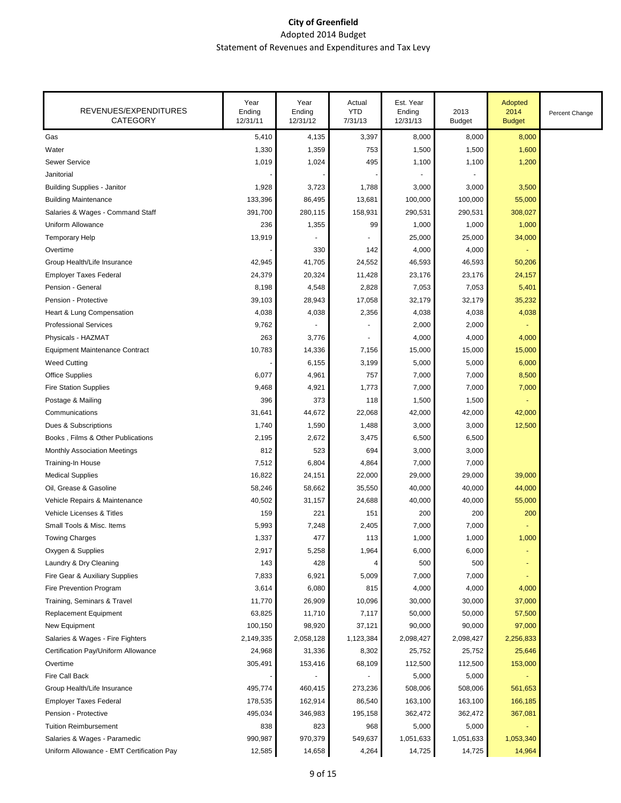| REVENUES/EXPENDITURES<br><b>CATEGORY</b>  | Year<br>Ending<br>12/31/11 | Year<br>Ending<br>12/31/12 | Actual<br><b>YTD</b><br>7/31/13 | Est. Year<br>Ending<br>12/31/13 | 2013<br><b>Budget</b> | Adopted<br>2014<br><b>Budget</b> | Percent Change |
|-------------------------------------------|----------------------------|----------------------------|---------------------------------|---------------------------------|-----------------------|----------------------------------|----------------|
| Gas                                       | 5,410                      | 4,135                      | 3,397                           | 8,000                           | 8,000                 | 8,000                            |                |
| Water                                     | 1,330                      | 1,359                      | 753                             | 1,500                           | 1,500                 | 1,600                            |                |
| Sewer Service                             | 1,019                      | 1,024                      | 495                             | 1,100                           | 1,100                 | 1,200                            |                |
| Janitorial                                |                            |                            |                                 |                                 |                       |                                  |                |
| <b>Building Supplies - Janitor</b>        | 1,928                      | 3,723                      | 1,788                           | 3,000                           | 3,000                 | 3,500                            |                |
| <b>Building Maintenance</b>               | 133,396                    | 86,495                     | 13,681                          | 100,000                         | 100,000               | 55,000                           |                |
| Salaries & Wages - Command Staff          | 391,700                    | 280,115                    | 158,931                         | 290,531                         | 290,531               | 308,027                          |                |
| Uniform Allowance                         | 236                        | 1,355                      | 99                              | 1,000                           | 1,000                 | 1,000                            |                |
| <b>Temporary Help</b>                     | 13,919                     |                            |                                 | 25,000                          | 25,000                | 34,000                           |                |
| Overtime                                  |                            | 330                        | 142                             | 4,000                           | 4,000                 |                                  |                |
| Group Health/Life Insurance               | 42,945                     | 41,705                     | 24,552                          | 46,593                          | 46,593                | 50,206                           |                |
| <b>Employer Taxes Federal</b>             | 24,379                     | 20,324                     | 11,428                          | 23,176                          | 23,176                | 24,157                           |                |
| Pension - General                         | 8,198                      | 4,548                      | 2,828                           | 7,053                           | 7,053                 | 5,401                            |                |
| Pension - Protective                      | 39,103                     | 28,943                     | 17,058                          | 32,179                          | 32,179                | 35,232                           |                |
| Heart & Lung Compensation                 | 4,038                      | 4,038                      | 2,356                           | 4,038                           | 4,038                 | 4,038                            |                |
| <b>Professional Services</b>              | 9,762                      |                            |                                 | 2,000                           | 2,000                 |                                  |                |
| Physicals - HAZMAT                        | 263                        | 3,776                      |                                 | 4,000                           | 4,000                 | 4,000                            |                |
| <b>Equipment Maintenance Contract</b>     | 10,783                     | 14,336                     | 7,156                           | 15,000                          | 15,000                | 15,000                           |                |
| <b>Weed Cutting</b>                       |                            | 6,155                      | 3,199                           | 5,000                           | 5,000                 | 6,000                            |                |
| <b>Office Supplies</b>                    | 6,077                      | 4,961                      | 757                             | 7,000                           | 7,000                 | 8,500                            |                |
| <b>Fire Station Supplies</b>              | 9,468                      | 4,921                      | 1,773                           | 7,000                           | 7,000                 | 7,000                            |                |
| Postage & Mailing                         | 396                        | 373                        | 118                             | 1,500                           | 1,500                 |                                  |                |
| Communications                            | 31,641                     | 44,672                     | 22,068                          | 42,000                          | 42,000                | 42,000                           |                |
| Dues & Subscriptions                      | 1,740                      | 1,590                      | 1,488                           | 3,000                           | 3,000                 | 12,500                           |                |
| Books, Films & Other Publications         | 2,195                      | 2,672                      | 3,475                           | 6,500                           | 6,500                 |                                  |                |
| <b>Monthly Association Meetings</b>       | 812                        | 523                        | 694                             | 3,000                           | 3,000                 |                                  |                |
| Training-In House                         | 7,512                      | 6,804                      | 4,864                           | 7,000                           | 7,000                 |                                  |                |
| <b>Medical Supplies</b>                   | 16,822                     | 24,151                     | 22,000                          | 29,000                          | 29,000                | 39,000                           |                |
| Oil, Grease & Gasoline                    | 58,246                     | 58,662                     | 35,550                          | 40,000                          | 40,000                | 44,000                           |                |
| Vehicle Repairs & Maintenance             | 40,502                     | 31,157                     | 24,688                          | 40,000                          | 40,000                | 55,000                           |                |
| Vehicle Licenses & Titles                 | 159                        | 221                        | 151                             | 200                             | 200                   | 200                              |                |
| Small Tools & Misc. Items                 | 5,993                      | 7,248                      | 2,405                           | 7,000                           | 7,000                 | ٠                                |                |
| <b>Towing Charges</b>                     | 1,337                      | 477                        | 113                             | 1,000                           | 1,000                 | 1,000                            |                |
| Oxygen & Supplies                         | 2,917                      | 5,258                      | 1,964                           | 6,000                           | 6,000                 |                                  |                |
| Laundry & Dry Cleaning                    | 143                        | 428                        | 4                               | 500                             | 500                   | $\blacksquare$                   |                |
| Fire Gear & Auxiliary Supplies            | 7,833                      | 6,921                      | 5,009                           | 7,000                           | 7,000                 |                                  |                |
| Fire Prevention Program                   | 3,614                      | 6,080                      | 815                             | 4,000                           | 4,000                 | 4,000                            |                |
| Training, Seminars & Travel               | 11,770                     | 26,909                     | 10,096                          | 30,000                          | 30,000                | 37,000                           |                |
| Replacement Equipment                     | 63,825                     | 11,710                     | 7,117                           | 50,000                          | 50,000                | 57,500                           |                |
| New Equipment                             | 100,150                    | 98,920                     | 37,121                          | 90,000                          | 90,000                | 97,000                           |                |
| Salaries & Wages - Fire Fighters          | 2,149,335                  | 2,058,128                  | 1,123,384                       | 2,098,427                       | 2,098,427             | 2,256,833                        |                |
| Certification Pay/Uniform Allowance       | 24,968                     | 31,336                     | 8,302                           | 25,752                          | 25,752                | 25,646                           |                |
| Overtime                                  | 305,491                    | 153,416                    | 68,109                          | 112,500                         | 112,500               | 153,000                          |                |
| Fire Call Back                            |                            |                            |                                 | 5,000                           | 5,000                 |                                  |                |
| Group Health/Life Insurance               | 495,774                    | 460,415                    | 273,236                         | 508,006                         | 508,006               | 561,653                          |                |
| <b>Employer Taxes Federal</b>             | 178,535                    | 162,914                    | 86,540                          | 163,100                         | 163,100               | 166,185                          |                |
| Pension - Protective                      | 495,034                    | 346,983                    | 195,158                         | 362,472                         | 362,472               | 367,081                          |                |
| <b>Tuition Reimbursement</b>              | 838                        | 823                        | 968                             | 5,000                           | 5,000                 |                                  |                |
| Salaries & Wages - Paramedic              | 990,987                    | 970,379                    | 549,637                         | 1,051,633                       | 1,051,633             | 1,053,340                        |                |
| Uniform Allowance - EMT Certification Pay | 12,585                     | 14,658                     | 4,264                           | 14,725                          | 14,725                | 14,964                           |                |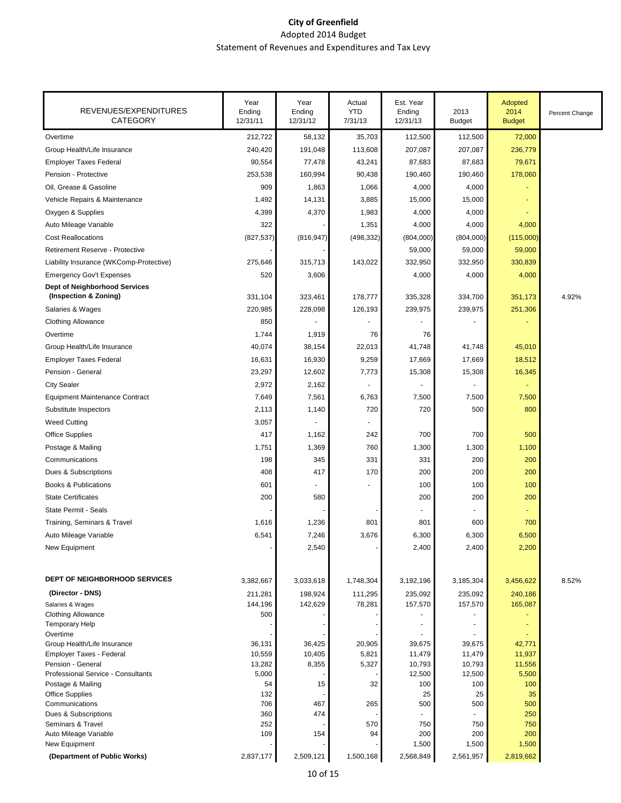| REVENUES/EXPENDITURES<br><b>CATEGORY</b>                      | Year<br>Ending<br>12/31/11 | Year<br>Ending<br>12/31/12 | Actual<br><b>YTD</b><br>7/31/13 | Est. Year<br>Ending<br>12/31/13 | 2013<br><b>Budget</b> | Adopted<br>2014<br><b>Budget</b> | Percent Change |
|---------------------------------------------------------------|----------------------------|----------------------------|---------------------------------|---------------------------------|-----------------------|----------------------------------|----------------|
| Overtime                                                      | 212,722                    | 58,132                     | 35,703                          | 112,500                         | 112,500               | 72,000                           |                |
| Group Health/Life Insurance                                   | 240,420                    | 191,048                    | 113,608                         | 207,087                         | 207,087               | 236,779                          |                |
| <b>Employer Taxes Federal</b>                                 | 90,554                     | 77,478                     | 43,241                          | 87,683                          | 87,683                | 79,671                           |                |
| Pension - Protective                                          | 253,538                    | 160,994                    | 90,438                          | 190,460                         | 190,460               | 178,060                          |                |
| Oil, Grease & Gasoline                                        | 909                        | 1,863                      | 1,066                           | 4,000                           | 4,000                 |                                  |                |
| Vehicle Repairs & Maintenance                                 | 1,492                      | 14,131                     | 3,885                           | 15,000                          | 15,000                |                                  |                |
| Oxygen & Supplies                                             | 4,399                      | 4,370                      | 1,983                           | 4,000                           | 4,000                 |                                  |                |
| Auto Mileage Variable                                         | 322                        |                            | 1,351                           | 4,000                           | 4,000                 | 4,000                            |                |
| <b>Cost Reallocations</b>                                     | (827, 537)                 | (816, 947)                 | (498, 332)                      | (804,000)                       | (804,000)             | (115,000)                        |                |
| Retirement Reserve - Protective                               |                            |                            |                                 | 59,000                          | 59,000                | 59,000                           |                |
| Liability Insurance (WKComp-Protective)                       | 275,646                    | 315,713                    | 143,022                         | 332,950                         | 332,950               | 330,839                          |                |
| <b>Emergency Gov't Expenses</b>                               | 520                        | 3,606                      |                                 | 4,000                           | 4,000                 | 4,000                            |                |
| <b>Dept of Neighborhood Services</b><br>(Inspection & Zoning) | 331,104                    | 323,461                    | 178,777                         | 335,328                         | 334,700               | 351,173                          | 4.92%          |
| Salaries & Wages                                              | 220,985                    | 228,098                    | 126,193                         | 239,975                         | 239,975               | 251,306                          |                |
| <b>Clothing Allowance</b>                                     | 850                        |                            |                                 |                                 |                       |                                  |                |
| Overtime                                                      | 1,744                      | 1,919                      | 76                              | 76                              |                       |                                  |                |
| Group Health/Life Insurance                                   | 40,074                     | 38,154                     | 22,013                          | 41,748                          | 41,748                | 45,010                           |                |
| <b>Employer Taxes Federal</b>                                 | 16,631                     | 16,930                     | 9,259                           | 17,669                          | 17,669                | 18,512                           |                |
| Pension - General                                             | 23,297                     | 12,602                     | 7,773                           | 15,308                          | 15,308                | 16,345                           |                |
| <b>City Sealer</b>                                            | 2,972                      | 2,162                      |                                 |                                 |                       |                                  |                |
| <b>Equipment Maintenance Contract</b>                         | 7,649                      | 7,561                      | 6,763                           | 7,500                           | 7,500                 | 7,500                            |                |
| Substitute Inspectors                                         | 2,113                      | 1,140                      | 720                             | 720                             | 500                   | 800                              |                |
| <b>Weed Cutting</b>                                           | 3,057                      |                            |                                 |                                 |                       |                                  |                |
| <b>Office Supplies</b>                                        | 417                        | 1,162                      | 242                             | 700                             | 700                   | 500                              |                |
| Postage & Mailing                                             | 1,751                      | 1,369                      | 760                             | 1,300                           | 1,300                 | 1,100                            |                |
| Communications                                                | 198                        | 345                        | 331                             | 331                             | 200                   | 200                              |                |
| Dues & Subscriptions                                          | 408                        | 417                        | 170                             | 200                             | 200                   | 200                              |                |
| <b>Books &amp; Publications</b>                               | 601                        |                            |                                 | 100                             | 100                   | 100                              |                |
| <b>State Certificates</b>                                     | 200                        | 580                        |                                 | 200                             | 200                   | 200                              |                |
| <b>State Permit - Seals</b>                                   |                            |                            |                                 |                                 |                       |                                  |                |
| Training, Seminars & Travel                                   | 1,616                      | 1,236                      | 801                             | 801                             | 600                   | 700                              |                |
| Auto Mileage Variable                                         | 6,541                      | 7,246                      | 3,676                           | 6,300                           | 6,300                 | 6,500                            |                |
| New Equipment                                                 |                            | 2,540                      |                                 | 2,400                           | 2,400                 | 2,200                            |                |
| <b>DEPT OF NEIGHBORHOOD SERVICES</b>                          | 3,382,667                  | 3,033,618                  | 1,748,304                       | 3,192,196                       | 3,185,304             | 3,456,622                        | 8.52%          |
| (Director - DNS)                                              |                            |                            |                                 |                                 |                       |                                  |                |
| Salaries & Wages                                              | 211,281<br>144,196         | 198,924<br>142,629         | 111,295<br>78,281               | 235,092<br>157,570              | 235,092<br>157,570    | 240,186<br>165,087               |                |
| <b>Clothing Allowance</b>                                     | 500                        |                            |                                 |                                 |                       |                                  |                |
| <b>Temporary Help</b>                                         |                            |                            |                                 |                                 |                       |                                  |                |
| Overtime                                                      |                            |                            |                                 |                                 |                       |                                  |                |
| Group Health/Life Insurance<br>Employer Taxes - Federal       | 36,131<br>10,559           | 36,425<br>10,405           | 20,905<br>5,821                 | 39,675<br>11,479                | 39,675<br>11,479      | 42,771<br>11,937                 |                |
| Pension - General                                             | 13,282                     | 8,355                      | 5,327                           | 10,793                          | 10,793                | 11,556                           |                |
| <b>Professional Service - Consultants</b>                     | 5,000                      |                            |                                 | 12,500                          | 12,500                | 5,500                            |                |
| Postage & Mailing                                             | 54                         | 15                         | 32                              | 100                             | 100                   | 100                              |                |
| <b>Office Supplies</b>                                        | 132<br>706                 |                            |                                 | 25                              | 25                    | 35                               |                |
| Communications<br>Dues & Subscriptions                        | 360                        | 467<br>474                 | 265                             | 500                             | 500                   | 500<br>250                       |                |
| Seminars & Travel                                             | 252                        |                            | 570                             | 750                             | 750                   | 750                              |                |
| Auto Mileage Variable                                         | 109                        | 154                        | 94                              | 200                             | 200                   | 200                              |                |
| New Equipment                                                 |                            |                            |                                 | 1,500                           | 1,500                 | 1,500                            |                |
| (Department of Public Works)                                  | 2,837,177                  | 2,509,121                  | 1,500,168                       | 2,568,849                       | 2,561,957             | 2,819,662                        |                |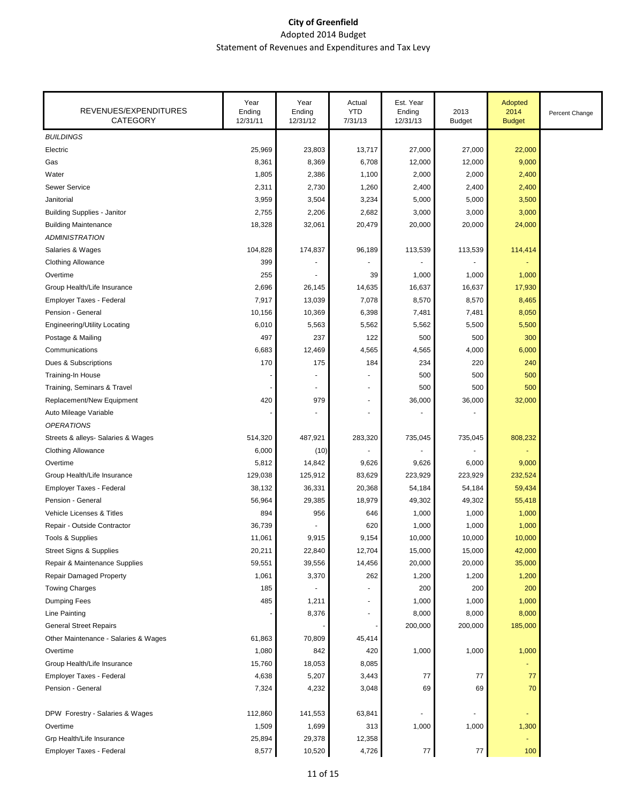| REVENUES/EXPENDITURES<br><b>CATEGORY</b> | Year<br>Ending<br>12/31/11 | Year<br>Ending<br>12/31/12 | Actual<br><b>YTD</b><br>7/31/13 | Est. Year<br>Ending<br>12/31/13 | 2013<br><b>Budget</b>    | Adopted<br>2014<br><b>Budget</b> | Percent Change |
|------------------------------------------|----------------------------|----------------------------|---------------------------------|---------------------------------|--------------------------|----------------------------------|----------------|
| <b>BUILDINGS</b>                         |                            |                            |                                 |                                 |                          |                                  |                |
| Electric                                 | 25,969                     | 23,803                     | 13,717                          | 27,000                          | 27,000                   | 22,000                           |                |
| Gas                                      | 8,361                      | 8,369                      | 6,708                           | 12,000                          | 12,000                   | 9,000                            |                |
| Water                                    | 1,805                      | 2,386                      | 1,100                           | 2,000                           | 2,000                    | 2,400                            |                |
| <b>Sewer Service</b>                     | 2,311                      | 2,730                      | 1,260                           | 2,400                           | 2,400                    | 2,400                            |                |
| Janitorial                               | 3,959                      | 3,504                      | 3,234                           | 5,000                           | 5,000                    | 3,500                            |                |
| <b>Building Supplies - Janitor</b>       | 2,755                      | 2,206                      | 2,682                           | 3,000                           | 3,000                    | 3,000                            |                |
| <b>Building Maintenance</b>              | 18,328                     | 32,061                     | 20,479                          | 20,000                          | 20,000                   | 24,000                           |                |
| <b>ADMINISTRATION</b>                    |                            |                            |                                 |                                 |                          |                                  |                |
| Salaries & Wages                         | 104,828                    | 174,837                    | 96,189                          | 113,539                         | 113,539                  | 114,414                          |                |
| Clothing Allowance                       | 399                        |                            |                                 |                                 |                          |                                  |                |
| Overtime                                 | 255                        |                            | 39                              | 1,000                           | 1,000                    | 1,000                            |                |
| Group Health/Life Insurance              | 2,696                      | 26,145                     | 14,635                          | 16,637                          | 16,637                   | 17,930                           |                |
| Employer Taxes - Federal                 | 7,917                      | 13,039                     | 7,078                           | 8,570                           | 8,570                    | 8,465                            |                |
| Pension - General                        | 10,156                     | 10,369                     | 6,398                           | 7,481                           | 7,481                    | 8,050                            |                |
| Engineering/Utility Locating             | 6,010                      | 5,563                      | 5,562                           | 5,562                           | 5,500                    | 5,500                            |                |
| Postage & Mailing                        | 497                        | 237                        | 122                             | 500                             | 500                      | 300                              |                |
| Communications                           | 6,683                      | 12,469                     | 4,565                           | 4,565                           | 4,000                    | 6,000                            |                |
| Dues & Subscriptions                     | 170                        | 175                        | 184                             | 234                             | 220                      | 240                              |                |
| Training-In House                        |                            |                            |                                 | 500                             | 500                      | 500                              |                |
| Training, Seminars & Travel              |                            |                            | $\blacksquare$                  | 500                             | 500                      | 500                              |                |
| Replacement/New Equipment                | 420                        | 979                        | $\blacksquare$                  | 36,000                          | 36,000                   | 32,000                           |                |
| Auto Mileage Variable                    |                            |                            | $\blacksquare$                  |                                 |                          |                                  |                |
| <b>OPERATIONS</b>                        |                            |                            |                                 |                                 |                          |                                  |                |
| Streets & alleys- Salaries & Wages       | 514,320                    | 487,921                    | 283,320                         | 735,045                         | 735,045                  | 808,232                          |                |
| <b>Clothing Allowance</b>                | 6,000                      | (10)                       |                                 |                                 |                          |                                  |                |
| Overtime                                 | 5,812                      | 14,842                     | 9,626                           | 9,626                           | 6,000                    | 9,000                            |                |
| Group Health/Life Insurance              | 129,038                    | 125,912                    | 83,629                          | 223,929                         | 223,929                  | 232,524                          |                |
| Employer Taxes - Federal                 | 38,132                     | 36,331                     | 20,368                          | 54,184                          | 54,184                   | 59,434                           |                |
| Pension - General                        | 56,964                     | 29,385                     | 18,979                          | 49,302                          | 49,302                   | 55,418                           |                |
| <b>Vehicle Licenses &amp; Titles</b>     | 894                        | 956                        | 646                             | 1,000                           | 1,000                    | 1,000                            |                |
| Repair - Outside Contractor              | 36,739                     |                            | 620                             | 1,000                           | 1,000                    | 1,000                            |                |
| Tools & Supplies                         | 11,061                     | 9,915                      | 9,154                           | 10,000                          | 10,000                   | 10,000                           |                |
| <b>Street Signs &amp; Supplies</b>       | 20,211                     | 22,840                     | 12,704                          | 15,000                          | 15,000                   | 42,000                           |                |
| Repair & Maintenance Supplies            | 59,551                     | 39,556                     | 14,456                          | 20,000                          | 20,000                   | 35,000                           |                |
| <b>Repair Damaged Property</b>           | 1,061                      | 3,370                      | 262                             | 1,200                           | 1,200                    | 1,200                            |                |
| <b>Towing Charges</b>                    | 185                        |                            | $\blacksquare$                  | 200                             | 200                      | 200                              |                |
| Dumping Fees                             | 485                        | 1,211                      | $\blacksquare$                  | 1,000                           | 1,000                    | 1,000                            |                |
| <b>Line Painting</b>                     |                            | 8,376                      | $\blacksquare$                  | 8,000                           | 8,000                    | 8,000                            |                |
| <b>General Street Repairs</b>            |                            |                            |                                 | 200,000                         | 200,000                  | 185,000                          |                |
| Other Maintenance - Salaries & Wages     | 61,863                     | 70,809                     | 45,414                          |                                 |                          |                                  |                |
| Overtime                                 | 1,080                      | 842                        | 420                             | 1,000                           | 1,000                    | 1,000                            |                |
| Group Health/Life Insurance              | 15,760                     | 18,053                     | 8,085                           |                                 |                          |                                  |                |
| Employer Taxes - Federal                 | 4,638                      | 5,207                      | 3,443                           | 77                              | 77                       | 77                               |                |
| Pension - General                        | 7,324                      | 4,232                      | 3,048                           | 69                              | 69                       | 70                               |                |
| DPW Forestry - Salaries & Wages          | 112,860                    | 141,553                    | 63,841                          | $\overline{a}$                  | $\overline{\phantom{a}}$ | ٠                                |                |
| Overtime                                 | 1,509                      | 1,699                      | 313                             | 1,000                           | 1,000                    | 1,300                            |                |
| Grp Health/Life Insurance                | 25,894                     | 29,378                     | 12,358                          |                                 |                          |                                  |                |
| Employer Taxes - Federal                 | 8,577                      | 10,520                     | 4,726                           | $77\,$                          | $77\,$                   | 100                              |                |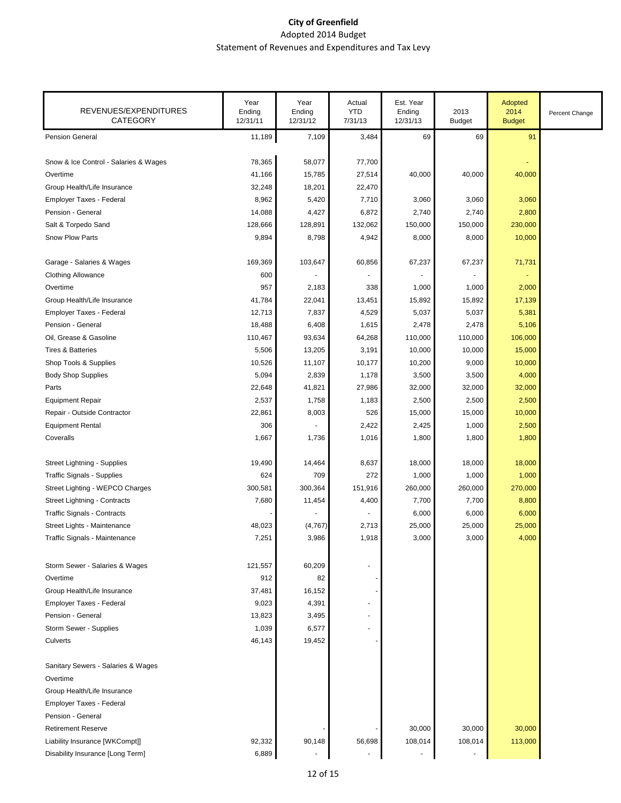| REVENUES/EXPENDITURES<br><b>CATEGORY</b> | Year<br>Ending<br>12/31/11 | Year<br>Ending<br>12/31/12 | Actual<br><b>YTD</b><br>7/31/13 | Est. Year<br>Ending<br>12/31/13 | 2013<br><b>Budget</b> | Adopted<br>2014<br><b>Budget</b> | Percent Change |
|------------------------------------------|----------------------------|----------------------------|---------------------------------|---------------------------------|-----------------------|----------------------------------|----------------|
| <b>Pension General</b>                   | 11,189                     | 7,109                      | 3,484                           | 69                              | 69                    | 91                               |                |
| Snow & Ice Control - Salaries & Wages    | 78,365                     | 58,077                     | 77,700                          |                                 |                       |                                  |                |
| Overtime                                 | 41,166                     | 15,785                     | 27,514                          | 40,000                          | 40,000                | 40,000                           |                |
| Group Health/Life Insurance              | 32,248                     | 18,201                     | 22,470                          |                                 |                       |                                  |                |
| Employer Taxes - Federal                 | 8,962                      | 5,420                      | 7,710                           | 3,060                           | 3,060                 | 3,060                            |                |
| Pension - General                        | 14,088                     | 4,427                      | 6,872                           | 2,740                           | 2,740                 | 2,800                            |                |
| Salt & Torpedo Sand                      | 128,666                    | 128,891                    | 132,062                         | 150,000                         | 150,000               | 230,000                          |                |
| Snow Plow Parts                          | 9,894                      | 8,798                      | 4,942                           | 8,000                           | 8,000                 | 10,000                           |                |
| Garage - Salaries & Wages                | 169,369                    | 103,647                    | 60,856                          | 67,237                          | 67,237                | 71,731                           |                |
| <b>Clothing Allowance</b>                | 600                        |                            |                                 |                                 |                       |                                  |                |
| Overtime                                 | 957                        | 2,183                      | 338                             | 1,000                           | 1,000                 | 2,000                            |                |
| Group Health/Life Insurance              | 41,784                     | 22,041                     | 13,451                          | 15,892                          | 15,892                | 17,139                           |                |
| Employer Taxes - Federal                 | 12,713                     | 7,837                      | 4,529                           | 5,037                           | 5,037                 | 5,381                            |                |
| Pension - General                        | 18,488                     | 6,408                      | 1,615                           | 2,478                           | 2,478                 | 5,106                            |                |
| Oil, Grease & Gasoline                   | 110,467                    | 93,634                     | 64,268                          | 110,000                         | 110,000               | 106,000                          |                |
| <b>Tires &amp; Batteries</b>             | 5,506                      | 13,205                     | 3,191                           | 10,000                          | 10,000                | 15,000                           |                |
| Shop Tools & Supplies                    | 10,526                     | 11,107                     | 10,177                          | 10,200                          | 9,000                 | 10,000                           |                |
| <b>Body Shop Supplies</b>                | 5,094                      | 2,839                      | 1,178                           | 3,500                           | 3,500                 | 4,000                            |                |
| Parts                                    | 22,648                     | 41,821                     | 27,986                          | 32,000                          | 32,000                | 32,000                           |                |
| <b>Equipment Repair</b>                  | 2,537                      | 1,758                      | 1,183                           | 2,500                           | 2,500                 | 2,500                            |                |
| Repair - Outside Contractor              | 22,861                     | 8,003                      | 526                             | 15,000                          | 15,000                | 10,000                           |                |
| <b>Equipment Rental</b>                  | 306                        |                            | 2,422                           | 2,425                           | 1,000                 | 2,500                            |                |
| Coveralls                                | 1,667                      | 1,736                      | 1,016                           | 1,800                           | 1,800                 | 1,800                            |                |
| Street Lightning - Supplies              | 19,490                     | 14,464                     | 8,637                           | 18,000                          | 18,000                | 18,000                           |                |
| <b>Traffic Signals - Supplies</b>        | 624                        | 709                        | 272                             | 1,000                           | 1,000                 | 1,000                            |                |
| Street Lighting - WEPCO Charges          | 300,581                    | 300,364                    | 151,916                         | 260,000                         | 260,000               | 270,000                          |                |
| Street Lightning - Contracts             | 7,680                      | 11,454                     | 4,400                           | 7,700                           | 7,700                 | 8,800                            |                |
| <b>Traffic Signals - Contracts</b>       |                            |                            |                                 | 6,000                           | 6,000                 | 6,000                            |                |
| Street Lights - Maintenance              | 48,023                     | (4,767)                    | 2,713                           | 25,000                          | 25,000                | 25,000                           |                |
| Traffic Signals - Maintenance            | 7,251                      | 3,986                      | 1,918                           | 3,000                           | 3,000                 | 4,000                            |                |
| Storm Sewer - Salaries & Wages           | 121,557                    | 60,209                     |                                 |                                 |                       |                                  |                |
| Overtime                                 | 912                        | 82                         |                                 |                                 |                       |                                  |                |
| Group Health/Life Insurance              | 37,481                     | 16,152                     |                                 |                                 |                       |                                  |                |
| Employer Taxes - Federal                 | 9,023                      | 4,391                      |                                 |                                 |                       |                                  |                |
| Pension - General                        | 13,823                     | 3,495                      |                                 |                                 |                       |                                  |                |
| Storm Sewer - Supplies                   | 1,039                      | 6,577                      |                                 |                                 |                       |                                  |                |
| Culverts                                 | 46,143                     | 19,452                     |                                 |                                 |                       |                                  |                |
| Sanitary Sewers - Salaries & Wages       |                            |                            |                                 |                                 |                       |                                  |                |
| Overtime                                 |                            |                            |                                 |                                 |                       |                                  |                |
| Group Health/Life Insurance              |                            |                            |                                 |                                 |                       |                                  |                |
| Employer Taxes - Federal                 |                            |                            |                                 |                                 |                       |                                  |                |
| Pension - General                        |                            |                            |                                 |                                 |                       |                                  |                |
| <b>Retirement Reserve</b>                |                            |                            |                                 | 30,000                          | 30,000                | 30,000                           |                |
| Liability Insurance [WKCompt]]           | 92,332                     | 90,148                     | 56,698                          | 108,014                         | 108,014               | 113,000                          |                |
| Disability Insurance [Long Term]         | 6,889                      |                            |                                 |                                 |                       |                                  |                |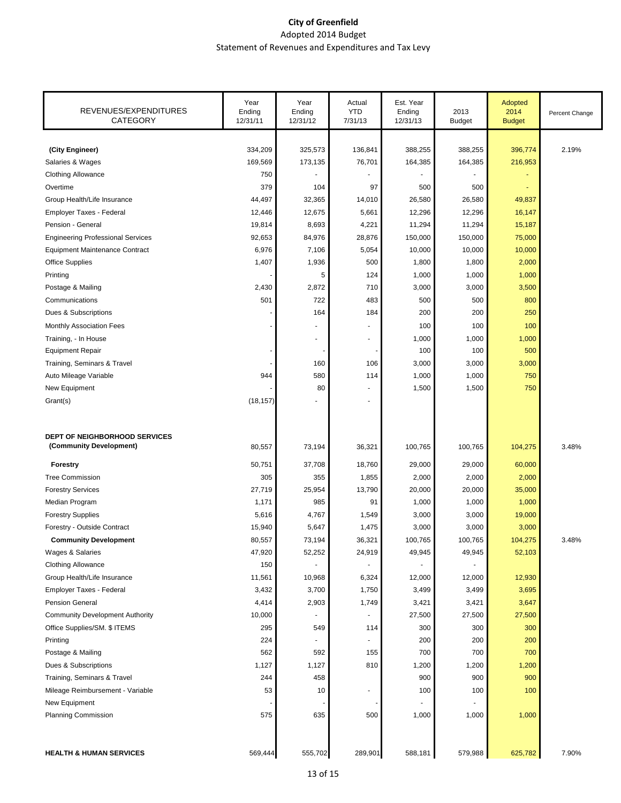| REVENUES/EXPENDITURES<br>CATEGORY                               | Year<br>Ending<br>12/31/11 | Year<br>Ending<br>12/31/12 | Actual<br><b>YTD</b><br>7/31/13 | Est. Year<br>Ending<br>12/31/13 | 2013<br><b>Budget</b> | Adopted<br>2014<br><b>Budget</b> | Percent Change |
|-----------------------------------------------------------------|----------------------------|----------------------------|---------------------------------|---------------------------------|-----------------------|----------------------------------|----------------|
|                                                                 |                            |                            |                                 |                                 |                       |                                  |                |
| (City Engineer)                                                 | 334,209                    | 325,573                    | 136,841                         | 388,255                         | 388,255               | 396,774                          | 2.19%          |
| Salaries & Wages                                                | 169,569                    | 173,135                    | 76,701                          | 164,385                         | 164,385               | 216,953                          |                |
| <b>Clothing Allowance</b>                                       | 750                        |                            |                                 |                                 |                       |                                  |                |
| Overtime                                                        | 379                        | 104                        | 97                              | 500                             | 500                   |                                  |                |
| Group Health/Life Insurance                                     | 44,497                     | 32,365                     | 14,010                          | 26,580                          | 26,580                | 49,837                           |                |
| Employer Taxes - Federal                                        | 12,446                     | 12,675                     | 5,661                           | 12,296                          | 12,296                | 16,147                           |                |
| Pension - General                                               | 19,814                     | 8,693                      | 4,221                           | 11,294                          | 11,294                | 15,187                           |                |
| <b>Engineering Professional Services</b>                        | 92,653                     | 84,976                     | 28,876                          | 150,000                         | 150,000               | 75,000                           |                |
| <b>Equipment Maintenance Contract</b>                           | 6,976                      | 7,106                      | 5,054                           | 10,000                          | 10,000                | 10,000                           |                |
| <b>Office Supplies</b>                                          | 1,407                      | 1,936                      | 500                             | 1,800                           | 1,800                 | 2,000                            |                |
| Printing                                                        |                            | 5                          | 124                             | 1,000                           | 1,000                 | 1,000                            |                |
| Postage & Mailing                                               | 2,430                      | 2,872                      | 710                             | 3,000                           | 3,000                 | 3,500                            |                |
| Communications                                                  | 501                        | 722                        | 483                             | 500                             | 500                   | 800                              |                |
| Dues & Subscriptions                                            |                            | 164                        | 184                             | 200                             | 200                   | 250                              |                |
| Monthly Association Fees                                        |                            |                            |                                 | 100                             | 100                   | 100                              |                |
| Training, - In House                                            |                            | $\blacksquare$             | $\overline{\phantom{a}}$        | 1,000                           | 1,000                 | 1,000                            |                |
| <b>Equipment Repair</b>                                         |                            |                            |                                 | 100                             | 100                   | 500                              |                |
| Training, Seminars & Travel                                     |                            | 160                        | 106                             | 3,000                           | 3,000                 | 3,000                            |                |
| Auto Mileage Variable                                           | 944                        | 580                        | 114                             | 1,000                           | 1,000                 | 750                              |                |
| New Equipment                                                   |                            | 80                         |                                 | 1,500                           | 1,500                 | 750                              |                |
| Grant(s)                                                        | (18, 157)                  |                            |                                 |                                 |                       |                                  |                |
|                                                                 |                            |                            |                                 |                                 |                       |                                  |                |
|                                                                 |                            |                            |                                 |                                 |                       |                                  |                |
| <b>DEPT OF NEIGHBORHOOD SERVICES</b><br>(Community Development) | 80,557                     | 73,194                     | 36,321                          | 100,765                         | 100,765               | 104,275                          | 3.48%          |
|                                                                 |                            |                            |                                 |                                 |                       |                                  |                |
| <b>Forestry</b>                                                 | 50,751                     | 37,708                     | 18,760                          | 29,000                          | 29,000                | 60,000                           |                |
| <b>Tree Commission</b>                                          | 305                        | 355                        | 1,855                           | 2,000                           | 2,000                 | 2,000                            |                |
| <b>Forestry Services</b>                                        | 27,719                     | 25,954                     | 13,790                          | 20,000                          | 20,000                | 35,000                           |                |
| Median Program                                                  | 1,171                      | 985                        | 91                              | 1,000                           | 1,000                 | 1,000                            |                |
| <b>Forestry Supplies</b>                                        | 5,616                      | 4,767                      | 1,549                           | 3,000                           | 3,000                 | 19,000                           |                |
| Forestry - Outside Contract                                     | 15,940                     | 5,647                      | 1,475                           | 3,000                           | 3,000                 | 3,000                            |                |
| <b>Community Development</b>                                    | 80,557                     | 73,194                     | 36,321                          | 100,765                         | 100,765               | 104,275                          | 3.48%          |
| Wages & Salaries                                                | 47,920                     | 52,252                     | 24,919                          | 49,945                          | 49,945                | 52,103                           |                |
| <b>Clothing Allowance</b>                                       | 150                        |                            |                                 |                                 |                       |                                  |                |
| Group Health/Life Insurance                                     | 11,561                     | 10,968                     | 6,324                           | 12,000                          | 12,000                | 12,930                           |                |
| Employer Taxes - Federal                                        | 3,432                      | 3,700                      | 1,750                           | 3,499                           | 3,499                 | 3,695                            |                |
| <b>Pension General</b>                                          | 4,414                      | 2,903                      | 1,749                           | 3,421                           | 3,421                 | 3,647                            |                |
| <b>Community Development Authority</b>                          | 10,000                     |                            |                                 | 27,500                          | 27,500                | 27,500                           |                |
| Office Supplies/SM. \$ ITEMS                                    | 295                        | 549                        | 114                             | 300                             | 300                   | 300                              |                |
| Printing                                                        | 224                        | $\overline{\phantom{a}}$   |                                 | 200                             | 200                   | 200                              |                |
| Postage & Mailing                                               | 562                        | 592                        | 155                             | 700                             | 700                   | 700                              |                |
| Dues & Subscriptions                                            | 1,127                      | 1,127                      | 810                             | 1,200                           | 1,200                 | 1,200                            |                |
| Training, Seminars & Travel                                     | 244                        | 458                        |                                 | 900                             | 900                   | 900                              |                |
| Mileage Reimbursement - Variable                                | 53                         | 10                         | $\blacksquare$                  | 100                             | 100                   | 100                              |                |
| New Equipment                                                   |                            |                            |                                 |                                 |                       |                                  |                |
| <b>Planning Commission</b>                                      | 575                        | 635                        | 500                             | 1,000                           | 1,000                 | 1,000                            |                |
|                                                                 |                            |                            |                                 |                                 |                       |                                  |                |
|                                                                 |                            |                            |                                 |                                 |                       |                                  |                |
| <b>HEALTH &amp; HUMAN SERVICES</b>                              | 569,444                    | 555,702                    | 289,901                         | 588,181                         | 579,988               | 625,782                          | 7.90%          |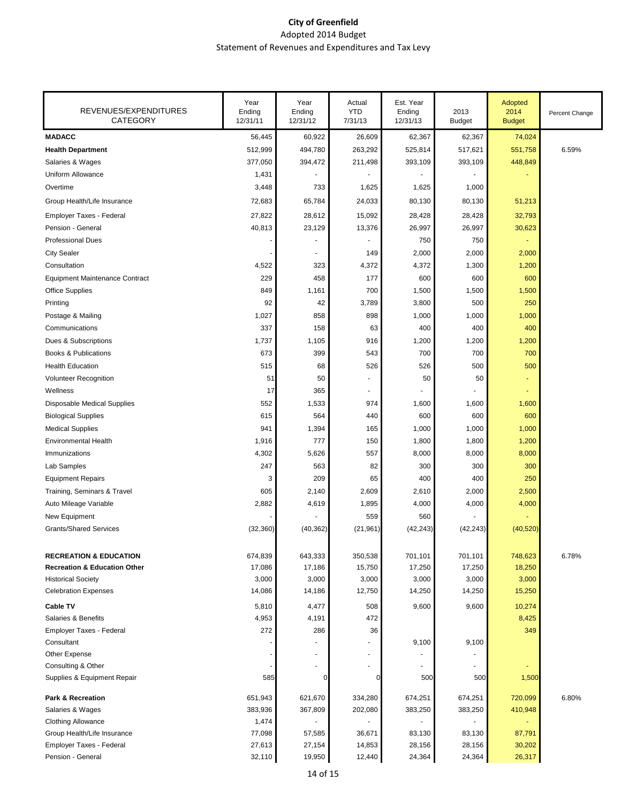| REVENUES/EXPENDITURES<br><b>CATEGORY</b> | Year<br>Ending<br>12/31/11 | Year<br>Ending<br>12/31/12 | Actual<br><b>YTD</b><br>7/31/13 | Est. Year<br>Ending<br>12/31/13 | 2013<br><b>Budget</b> | Adopted<br>2014<br><b>Budget</b> | Percent Change |
|------------------------------------------|----------------------------|----------------------------|---------------------------------|---------------------------------|-----------------------|----------------------------------|----------------|
| <b>MADACC</b>                            | 56,445                     | 60,922                     | 26,609                          | 62,367                          | 62,367                | 74,024                           |                |
| <b>Health Department</b>                 | 512,999                    | 494,780                    | 263,292                         | 525,814                         | 517,621               | 551,758                          | 6.59%          |
| Salaries & Wages                         | 377,050                    | 394,472                    | 211,498                         | 393,109                         | 393,109               | 448,849                          |                |
| Uniform Allowance                        | 1,431                      |                            |                                 |                                 |                       |                                  |                |
| Overtime                                 | 3,448                      | 733                        | 1,625                           | 1,625                           | 1,000                 |                                  |                |
| Group Health/Life Insurance              | 72,683                     | 65,784                     | 24,033                          | 80,130                          | 80,130                | 51,213                           |                |
| Employer Taxes - Federal                 | 27,822                     | 28,612                     | 15,092                          | 28,428                          | 28,428                | 32,793                           |                |
| Pension - General                        | 40,813                     | 23,129                     | 13,376                          | 26,997                          | 26,997                | 30,623                           |                |
| <b>Professional Dues</b>                 |                            |                            |                                 | 750                             | 750                   |                                  |                |
| <b>City Sealer</b>                       |                            | $\overline{\phantom{a}}$   | 149                             | 2,000                           | 2,000                 | 2,000                            |                |
| Consultation                             | 4,522                      | 323                        | 4,372                           | 4,372                           | 1,300                 | 1,200                            |                |
| <b>Equipment Maintenance Contract</b>    | 229                        | 458                        | 177                             | 600                             | 600                   | 600                              |                |
| <b>Office Supplies</b>                   | 849                        | 1,161                      | 700                             | 1,500                           | 1,500                 | 1,500                            |                |
| Printing                                 | 92                         | 42                         | 3,789                           | 3,800                           | 500                   | 250                              |                |
| Postage & Mailing                        | 1,027                      | 858                        | 898                             | 1,000                           | 1,000                 | 1,000                            |                |
| Communications                           | 337                        | 158                        | 63                              | 400                             | 400                   | 400                              |                |
| Dues & Subscriptions                     | 1,737                      | 1,105                      | 916                             | 1,200                           | 1,200                 | 1,200                            |                |
| <b>Books &amp; Publications</b>          | 673                        | 399                        | 543                             | 700                             | 700                   | 700                              |                |
| <b>Health Education</b>                  | 515                        | 68                         | 526                             | 526                             | 500                   | 500                              |                |
| Volunteer Recognition                    | 51                         | 50                         |                                 | 50                              | 50                    |                                  |                |
| Wellness                                 | 17                         | 365                        |                                 |                                 |                       |                                  |                |
| Disposable Medical Supplies              | 552                        | 1,533                      | 974                             | 1,600                           | 1,600                 | 1,600                            |                |
| <b>Biological Supplies</b>               | 615                        | 564                        | 440                             | 600                             | 600                   | 600                              |                |
| <b>Medical Supplies</b>                  | 941                        | 1,394                      | 165                             | 1,000                           | 1,000                 | 1,000                            |                |
| <b>Environmental Health</b>              | 1,916                      | 777                        | 150                             | 1,800                           | 1,800                 | 1,200                            |                |
| Immunizations                            | 4,302                      | 5,626                      | 557                             | 8,000                           | 8,000                 | 8,000                            |                |
| Lab Samples                              | 247                        | 563                        | 82                              | 300                             | 300                   | 300                              |                |
| <b>Equipment Repairs</b>                 | 3                          | 209                        | 65                              | 400                             | 400                   | 250                              |                |
| Training, Seminars & Travel              | 605                        | 2,140                      | 2,609                           | 2,610                           | 2,000                 | 2,500                            |                |
| Auto Mileage Variable                    | 2,882                      | 4,619                      | 1,895                           | 4,000                           | 4,000                 | 4,000                            |                |
| New Equipment                            |                            |                            | 559                             | 560                             |                       |                                  |                |
| <b>Grants/Shared Services</b>            | (32, 360)                  | (40, 362)                  | (21, 961)                       | (42, 243)                       | (42, 243)             | (40, 520)                        |                |
| <b>RECREATION &amp; EDUCATION</b>        | 674,839                    | 643,333                    | 350,538                         | 701,101                         | 701,101               | 748,623                          | 6.78%          |
| <b>Recreation &amp; Education Other</b>  | 17,086                     | 17,186                     | 15,750                          | 17,250                          | 17,250                | 18,250                           |                |
| <b>Historical Society</b>                | 3,000                      | 3,000                      | 3,000                           | 3,000                           | 3,000                 | 3,000                            |                |
| <b>Celebration Expenses</b>              | 14,086                     | 14,186                     | 12,750                          | 14,250                          | 14,250                | 15,250                           |                |
| <b>Cable TV</b>                          | 5,810                      | 4,477                      | 508                             | 9,600                           | 9,600                 | 10,274                           |                |
| Salaries & Benefits                      | 4,953                      | 4,191                      | 472                             |                                 |                       | 8,425                            |                |
| Employer Taxes - Federal                 | 272                        | 286                        | 36                              |                                 |                       | 349                              |                |
| Consultant                               |                            |                            |                                 | 9,100                           | 9,100                 |                                  |                |
| Other Expense                            |                            |                            |                                 |                                 |                       |                                  |                |
| Consulting & Other                       |                            | $\overline{\phantom{a}}$   |                                 |                                 |                       |                                  |                |
| Supplies & Equipment Repair              | 585                        | C                          | U                               | 500                             | 500                   | 1,500                            |                |
| <b>Park &amp; Recreation</b>             | 651,943                    | 621,670                    | 334,280                         | 674,251                         | 674,251               | 720,099                          | 6.80%          |
| Salaries & Wages                         | 383,936                    | 367,809                    | 202,080                         | 383,250                         | 383,250               | 410,948                          |                |
| <b>Clothing Allowance</b>                | 1,474                      |                            |                                 |                                 |                       |                                  |                |
| Group Health/Life Insurance              | 77,098                     | 57,585                     | 36,671                          | 83,130                          | 83,130                | 87,791                           |                |
| Employer Taxes - Federal                 | 27,613                     | 27,154                     | 14,853                          | 28,156                          | 28,156                | 30,202                           |                |
| Pension - General                        | 32,110                     | 19,950                     | 12,440                          | 24,364                          | 24,364                | 26,317                           |                |